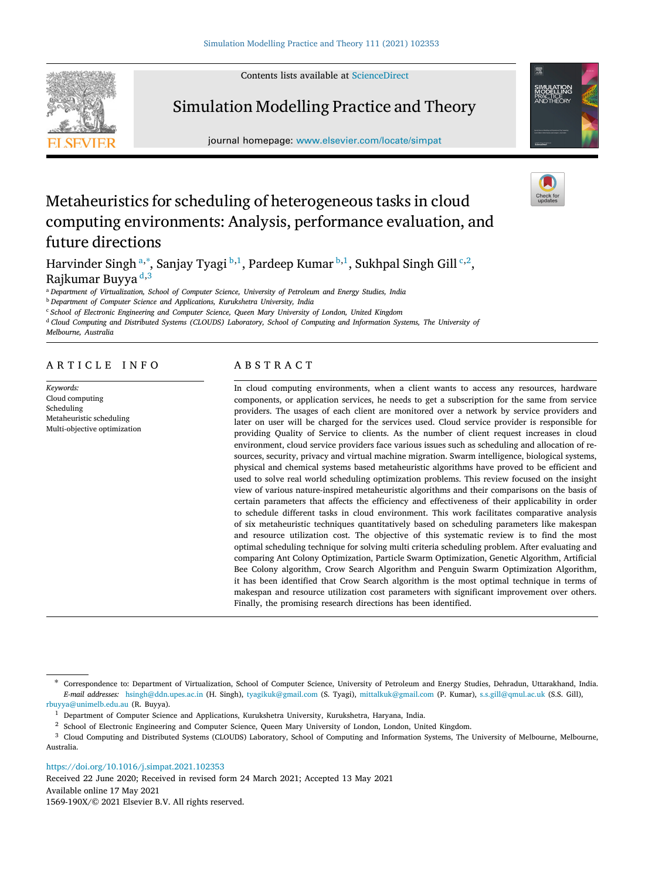Contents lists available at [ScienceDirect](http://www.elsevier.com/locate/simpat)



# Simulation Modelling Practice and Theory

journal homepage: [www.elsevier.com/locate/simpat](http://www.elsevier.com/locate/simpat)



# Metaheuristics for scheduling of heterogeneous tasks in cloud computing environments: Analysis, performance evaluation, and future directions

H[a](#page-0-0)rvinder Singh <sup>a,\*</sup>, Sanjay Tyagi <sup>[b](#page-0-2),[1](#page-0-3)</sup>, Pardeep Kumar <sup>b,1</sup>, Sukhpal Singh Gill <sup>[c](#page-0-4),[2](#page-0-5)</sup>, Rajkumar Buyya [d](#page-0-6),[3](#page-0-7)

<span id="page-0-0"></span><sup>a</sup> *Department of Virtualization, School of Computer Science, University of Petroleum and Energy Studies, India*

<span id="page-0-2"></span><sup>b</sup> *Department of Computer Science and Applications, Kurukshetra University, India*

<span id="page-0-4"></span><sup>c</sup> *School of Electronic Engineering and Computer Science, Queen Mary University of London, United Kingdom*

<span id="page-0-6"></span><sup>d</sup> *Cloud Computing and Distributed Systems (CLOUDS) Laboratory, School of Computing and Information Systems, The University of*

*Melbourne, Australia*

# ARTICLE INFO

*Keywords:* Cloud computing Scheduling Metaheuristic scheduling Multi-objective optimization

# A B S T R A C T

In cloud computing environments, when a client wants to access any resources, hardware components, or application services, he needs to get a subscription for the same from service providers. The usages of each client are monitored over a network by service providers and later on user will be charged for the services used. Cloud service provider is responsible for providing Quality of Service to clients. As the number of client request increases in cloud environment, cloud service providers face various issues such as scheduling and allocation of resources, security, privacy and virtual machine migration. Swarm intelligence, biological systems, physical and chemical systems based metaheuristic algorithms have proved to be efficient and used to solve real world scheduling optimization problems. This review focused on the insight view of various nature-inspired metaheuristic algorithms and their comparisons on the basis of certain parameters that affects the efficiency and effectiveness of their applicability in order to schedule different tasks in cloud environment. This work facilitates comparative analysis of six metaheuristic techniques quantitatively based on scheduling parameters like makespan and resource utilization cost. The objective of this systematic review is to find the most optimal scheduling technique for solving multi criteria scheduling problem. After evaluating and comparing Ant Colony Optimization, Particle Swarm Optimization, Genetic Algorithm, Artificial Bee Colony algorithm, Crow Search Algorithm and Penguin Swarm Optimization Algorithm, it has been identified that Crow Search algorithm is the most optimal technique in terms of makespan and resource utilization cost parameters with significant improvement over others. Finally, the promising research directions has been identified.

<span id="page-0-1"></span>∗ Correspondence to: Department of Virtualization, School of Computer Science, University of Petroleum and Energy Studies, Dehradun, Uttarakhand, India. *E-mail addresses:* [hsingh@ddn.upes.ac.in](mailto:hsingh@ddn.upes.ac.in) (H. Singh), [tyagikuk@gmail.com](mailto:tyagikuk@gmail.com) (S. Tyagi), [mittalkuk@gmail.com](mailto:mittalkuk@gmail.com) (P. Kumar), [s.s.gill@qmul.ac.uk](mailto:s.s.gill@qmul.ac.uk) (S.S. Gill), [rbuyya@unimelb.edu.au](mailto:rbuyya@unimelb.edu.au) (R. Buyya).

<span id="page-0-7"></span><span id="page-0-5"></span><sup>2</sup> School of Electronic Engineering and Computer Science, Queen Mary University of London, London, United Kingdom.

<sup>3</sup> Cloud Computing and Distributed Systems (CLOUDS) Laboratory, School of Computing and Information Systems, The University of Melbourne, Melbourne, Australia.

<https://doi.org/10.1016/j.simpat.2021.102353>

Available online 17 May 2021 Received 22 June 2020; Received in revised form 24 March 2021; Accepted 13 May 2021

1569-190X/© 2021 Elsevier B.V. All rights reserved.

<span id="page-0-3"></span><sup>&</sup>lt;sup>1</sup> Department of Computer Science and Applications, Kurukshetra University, Kurukshetra, Haryana, India.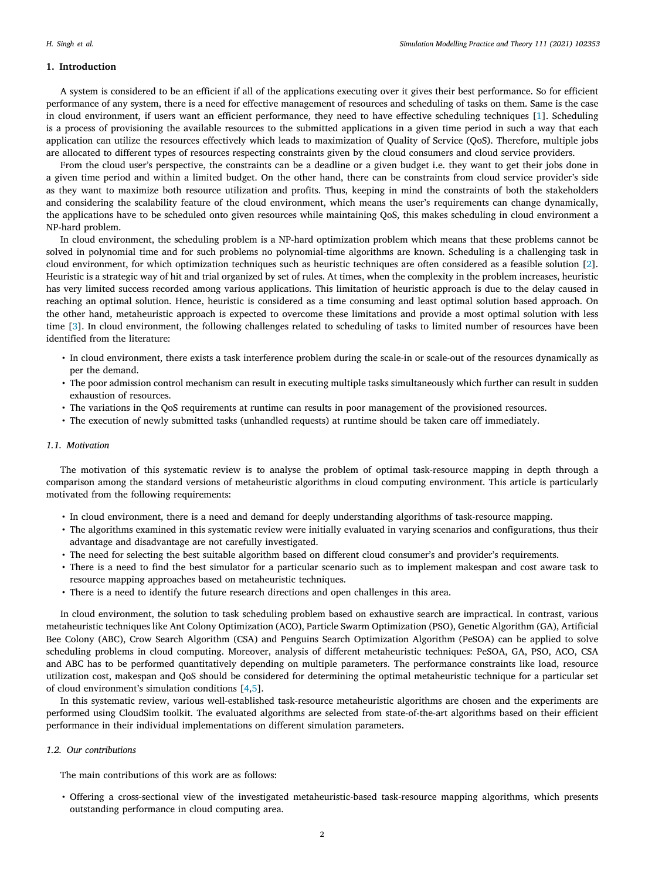#### **1. Introduction**

A system is considered to be an efficient if all of the applications executing over it gives their best performance. So for efficient performance of any system, there is a need for effective management of resources and scheduling of tasks on them. Same is the case in cloud environment, if users want an efficient performance, they need to have effective scheduling techniques [[1\]](#page-19-0). Scheduling is a process of provisioning the available resources to the submitted applications in a given time period in such a way that each application can utilize the resources effectively which leads to maximization of Quality of Service (QoS). Therefore, multiple jobs are allocated to different types of resources respecting constraints given by the cloud consumers and cloud service providers.

From the cloud user's perspective, the constraints can be a deadline or a given budget i.e. they want to get their jobs done in a given time period and within a limited budget. On the other hand, there can be constraints from cloud service provider's side as they want to maximize both resource utilization and profits. Thus, keeping in mind the constraints of both the stakeholders and considering the scalability feature of the cloud environment, which means the user's requirements can change dynamically, the applications have to be scheduled onto given resources while maintaining QoS, this makes scheduling in cloud environment a NP-hard problem.

In cloud environment, the scheduling problem is a NP-hard optimization problem which means that these problems cannot be solved in polynomial time and for such problems no polynomial-time algorithms are known. Scheduling is a challenging task in cloud environment, for which optimization techniques such as heuristic techniques are often considered as a feasible solution [[2\]](#page-19-1). Heuristic is a strategic way of hit and trial organized by set of rules. At times, when the complexity in the problem increases, heuristic has very limited success recorded among various applications. This limitation of heuristic approach is due to the delay caused in reaching an optimal solution. Hence, heuristic is considered as a time consuming and least optimal solution based approach. On the other hand, metaheuristic approach is expected to overcome these limitations and provide a most optimal solution with less time [\[3\]](#page-19-2). In cloud environment, the following challenges related to scheduling of tasks to limited number of resources have been identified from the literature:

- In cloud environment, there exists a task interference problem during the scale-in or scale-out of the resources dynamically as per the demand.
- The poor admission control mechanism can result in executing multiple tasks simultaneously which further can result in sudden exhaustion of resources.
- The variations in the QoS requirements at runtime can results in poor management of the provisioned resources.
- The execution of newly submitted tasks (unhandled requests) at runtime should be taken care off immediately.

### *1.1. Motivation*

The motivation of this systematic review is to analyse the problem of optimal task-resource mapping in depth through a comparison among the standard versions of metaheuristic algorithms in cloud computing environment. This article is particularly motivated from the following requirements:

- In cloud environment, there is a need and demand for deeply understanding algorithms of task-resource mapping.
- The algorithms examined in this systematic review were initially evaluated in varying scenarios and configurations, thus their advantage and disadvantage are not carefully investigated.
- The need for selecting the best suitable algorithm based on different cloud consumer's and provider's requirements.
- There is a need to find the best simulator for a particular scenario such as to implement makespan and cost aware task to resource mapping approaches based on metaheuristic techniques.
- There is a need to identify the future research directions and open challenges in this area.

In cloud environment, the solution to task scheduling problem based on exhaustive search are impractical. In contrast, various metaheuristic techniques like Ant Colony Optimization (ACO), Particle Swarm Optimization (PSO), Genetic Algorithm (GA), Artificial Bee Colony (ABC), Crow Search Algorithm (CSA) and Penguins Search Optimization Algorithm (PeSOA) can be applied to solve scheduling problems in cloud computing. Moreover, analysis of different metaheuristic techniques: PeSOA, GA, PSO, ACO, CSA and ABC has to be performed quantitatively depending on multiple parameters. The performance constraints like load, resource utilization cost, makespan and QoS should be considered for determining the optimal metaheuristic technique for a particular set of cloud environment's simulation conditions [[4,](#page-19-3)[5](#page-19-4)].

In this systematic review, various well-established task-resource metaheuristic algorithms are chosen and the experiments are performed using CloudSim toolkit. The evaluated algorithms are selected from state-of-the-art algorithms based on their efficient performance in their individual implementations on different simulation parameters.

#### *1.2. Our contributions*

The main contributions of this work are as follows:

• Offering a cross-sectional view of the investigated metaheuristic-based task-resource mapping algorithms, which presents outstanding performance in cloud computing area.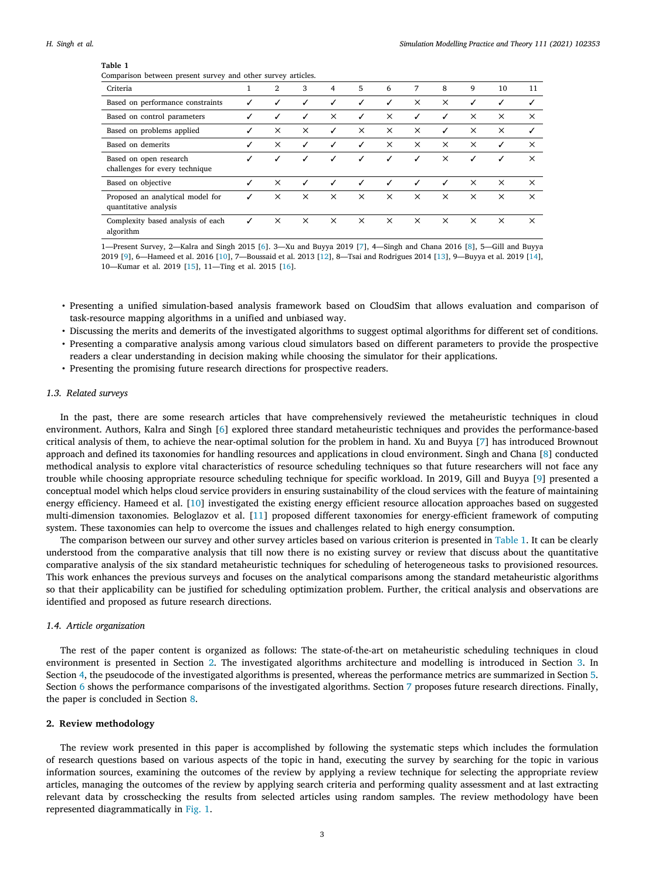<span id="page-2-0"></span>

| Comparison between present survey and other survey articles. |   |          |              |          |              |          |          |          |          |          |          |
|--------------------------------------------------------------|---|----------|--------------|----------|--------------|----------|----------|----------|----------|----------|----------|
| Criteria                                                     |   | 2        | 3            | 4        | 5            | 6        | 7        | 8        | 9        | 10       | 11       |
| Based on performance constraints                             | ✓ | ✓        | ✓            | ✓        | ✓            | ✓        | $\times$ | $\times$ | ✓        | ✓        |          |
| Based on control parameters                                  | ✓ | ✓        | ✓            | $\times$ | $\checkmark$ | $\times$ | ✓        | ✓        | $\times$ | $\times$ | $\times$ |
| Based on problems applied                                    | ✓ | $\times$ | $\times$     | ✓        | $\times$     | $\times$ | $\times$ | ✓        | $\times$ | $\times$ | ✓        |
| Based on demerits                                            |   | ×        | ✓            | ✓        | ✓            | $\times$ | $\times$ | ×        | $\times$ | ✓        | $\times$ |
| Based on open research<br>challenges for every technique     |   | ✓        | $\checkmark$ | ✓        | ✓            | ✓        | ✓        | $\times$ | ✓        | ✓        | $\times$ |
| Based on objective                                           |   | $\times$ | ✓            | ✓        | ✓            | ℐ        | J        | ✓        | $\times$ | $\times$ | $\times$ |
| Proposed an analytical model for<br>quantitative analysis    |   | $\times$ | $\times$     | $\times$ | $\times$     | $\times$ | $\times$ | $\times$ | $\times$ | $\times$ | $\times$ |
| Complexity based analysis of each<br>algorithm               | ✓ | $\times$ | $\times$     | $\times$ | $\times$     | $\times$ | $\times$ | $\times$ | $\times$ | $\times$ | $\times$ |

1—Present Survey, 2—Kalra and Singh 2015 [[6](#page-19-5)]. 3—Xu and Buyya 2019 [[7](#page-19-6)], 4—Singh and Chana 2016 [[8\]](#page-19-7), 5—Gill and Buyya 2019 [[9](#page-19-8)], 6—Hameed et al. 2016 [[10](#page-19-9)], 7—Boussaid et al. 2013 [\[12](#page-19-10)], 8—Tsai and Rodrigues 2014 [[13\]](#page-19-11), 9—Buyya et al. 2019 [[14\]](#page-19-12), 10—Kumar et al. 2019 [[15](#page-19-13)], 11—Ting et al. 2015 [\[16\]](#page-19-14).

- Presenting a unified simulation-based analysis framework based on CloudSim that allows evaluation and comparison of task-resource mapping algorithms in a unified and unbiased way.
- Discussing the merits and demerits of the investigated algorithms to suggest optimal algorithms for different set of conditions.
- Presenting a comparative analysis among various cloud simulators based on different parameters to provide the prospective readers a clear understanding in decision making while choosing the simulator for their applications.
- Presenting the promising future research directions for prospective readers.

# *1.3. Related surveys*

In the past, there are some research articles that have comprehensively reviewed the metaheuristic techniques in cloud environment. Authors, Kalra and Singh [\[6\]](#page-19-5) explored three standard metaheuristic techniques and provides the performance-based critical analysis of them, to achieve the near-optimal solution for the problem in hand. Xu and Buyya [[7\]](#page-19-6) has introduced Brownout approach and defined its taxonomies for handling resources and applications in cloud environment. Singh and Chana [[8\]](#page-19-7) conducted methodical analysis to explore vital characteristics of resource scheduling techniques so that future researchers will not face any trouble while choosing appropriate resource scheduling technique for specific workload. In 2019, Gill and Buyya [[9\]](#page-19-8) presented a conceptual model which helps cloud service providers in ensuring sustainability of the cloud services with the feature of maintaining energy efficiency. Hameed et al. [[10\]](#page-19-9) investigated the existing energy efficient resource allocation approaches based on suggested multi-dimension taxonomies. Beloglazov et al. [[11\]](#page-19-15) proposed different taxonomies for energy-efficient framework of computing system. These taxonomies can help to overcome the issues and challenges related to high energy consumption.

The comparison between our survey and other survey articles based on various criterion is presented in [Table](#page-2-0) [1.](#page-2-0) It can be clearly understood from the comparative analysis that till now there is no existing survey or review that discuss about the quantitative comparative analysis of the six standard metaheuristic techniques for scheduling of heterogeneous tasks to provisioned resources. This work enhances the previous surveys and focuses on the analytical comparisons among the standard metaheuristic algorithms so that their applicability can be justified for scheduling optimization problem. Further, the critical analysis and observations are identified and proposed as future research directions.

#### *1.4. Article organization*

The rest of the paper content is organized as follows: The state-of-the-art on metaheuristic scheduling techniques in cloud environment is presented in Section [2.](#page-2-1) The investigated algorithms architecture and modelling is introduced in Section [3.](#page-3-0) In Section [4](#page-6-0), the pseudocode of the investigated algorithms is presented, whereas the performance metrics are summarized in Section [5.](#page-8-0) Section [6](#page-13-0) shows the performance comparisons of the investigated algorithms. Section [7](#page-14-0) proposes future research directions. Finally, the paper is concluded in Section [8.](#page-17-0)

## **2. Review methodology**

<span id="page-2-1"></span>The review work presented in this paper is accomplished by following the systematic steps which includes the formulation of research questions based on various aspects of the topic in hand, executing the survey by searching for the topic in various information sources, examining the outcomes of the review by applying a review technique for selecting the appropriate review articles, managing the outcomes of the review by applying search criteria and performing quality assessment and at last extracting relevant data by crosschecking the results from selected articles using random samples. The review methodology have been represented diagrammatically in [Fig.](#page-3-1) [1](#page-3-1).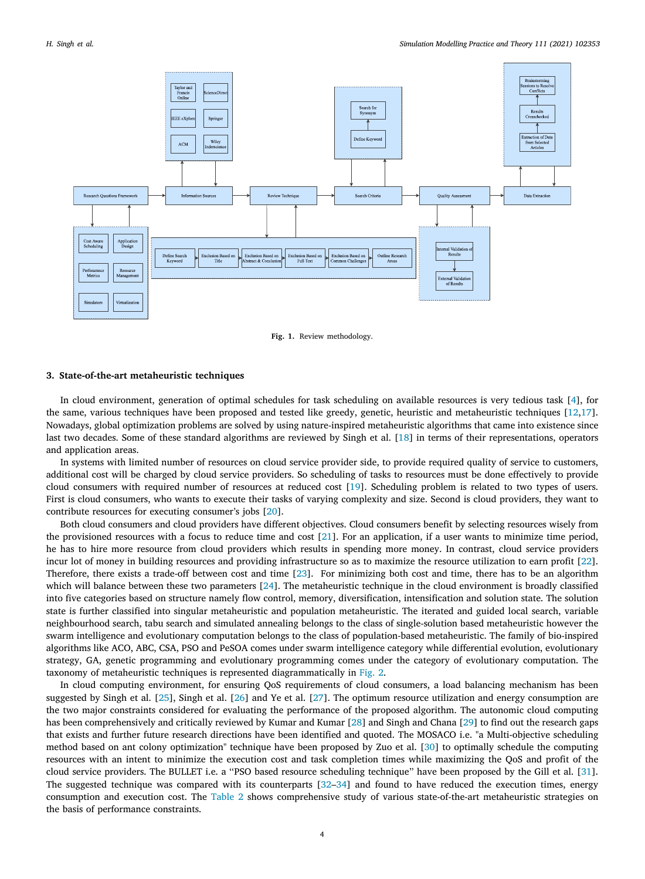

**Fig. 1.** Review methodology.

## <span id="page-3-1"></span>**3. State-of-the-art metaheuristic techniques**

<span id="page-3-0"></span>In cloud environment, generation of optimal schedules for task scheduling on available resources is very tedious task [[4\]](#page-19-3), for the same, various techniques have been proposed and tested like greedy, genetic, heuristic and metaheuristic techniques [\[12](#page-19-10),[17\]](#page-20-0). Nowadays, global optimization problems are solved by using nature-inspired metaheuristic algorithms that came into existence since last two decades. Some of these standard algorithms are reviewed by Singh et al. [[18\]](#page-20-1) in terms of their representations, operators and application areas.

In systems with limited number of resources on cloud service provider side, to provide required quality of service to customers, additional cost will be charged by cloud service providers. So scheduling of tasks to resources must be done effectively to provide cloud consumers with required number of resources at reduced cost [\[19](#page-20-2)]. Scheduling problem is related to two types of users. First is cloud consumers, who wants to execute their tasks of varying complexity and size. Second is cloud providers, they want to contribute resources for executing consumer's jobs [[20\]](#page-20-3).

Both cloud consumers and cloud providers have different objectives. Cloud consumers benefit by selecting resources wisely from the provisioned resources with a focus to reduce time and cost [[21\]](#page-20-4). For an application, if a user wants to minimize time period, he has to hire more resource from cloud providers which results in spending more money. In contrast, cloud service providers incur lot of money in building resources and providing infrastructure so as to maximize the resource utilization to earn profit [[22\]](#page-20-5). Therefore, there exists a trade-off between cost and time [\[23](#page-20-6)]. For minimizing both cost and time, there has to be an algorithm which will balance between these two parameters [\[24](#page-20-7)]. The metaheuristic technique in the cloud environment is broadly classified into five categories based on structure namely flow control, memory, diversification, intensification and solution state. The solution state is further classified into singular metaheuristic and population metaheuristic. The iterated and guided local search, variable neighbourhood search, tabu search and simulated annealing belongs to the class of single-solution based metaheuristic however the swarm intelligence and evolutionary computation belongs to the class of population-based metaheuristic. The family of bio-inspired algorithms like ACO, ABC, CSA, PSO and PeSOA comes under swarm intelligence category while differential evolution, evolutionary strategy, GA, genetic programming and evolutionary programming comes under the category of evolutionary computation. The taxonomy of metaheuristic techniques is represented diagrammatically in [Fig.](#page-4-0) [2.](#page-4-0)

In cloud computing environment, for ensuring QoS requirements of cloud consumers, a load balancing mechanism has been suggested by Singh et al. [[25\]](#page-20-8), Singh et al. [[26\]](#page-20-9) and Ye et al. [\[27](#page-20-10)]. The optimum resource utilization and energy consumption are the two major constraints considered for evaluating the performance of the proposed algorithm. The autonomic cloud computing has been comprehensively and critically reviewed by Kumar and Kumar [[28\]](#page-20-11) and Singh and Chana [[29\]](#page-20-12) to find out the research gaps that exists and further future research directions have been identified and quoted. The MOSACO i.e. "a Multi-objective scheduling method based on ant colony optimization" technique have been proposed by Zuo et al. [[30\]](#page-20-13) to optimally schedule the computing resources with an intent to minimize the execution cost and task completion times while maximizing the QoS and profit of the cloud service providers. The BULLET i.e. a ''PSO based resource scheduling technique'' have been proposed by the Gill et al. [[31\]](#page-20-14). The suggested technique was compared with its counterparts [[32–](#page-20-15)[34\]](#page-20-16) and found to have reduced the execution times, energy consumption and execution cost. The [Table](#page-4-1) [2](#page-4-1) shows comprehensive study of various state-of-the-art metaheuristic strategies on the basis of performance constraints.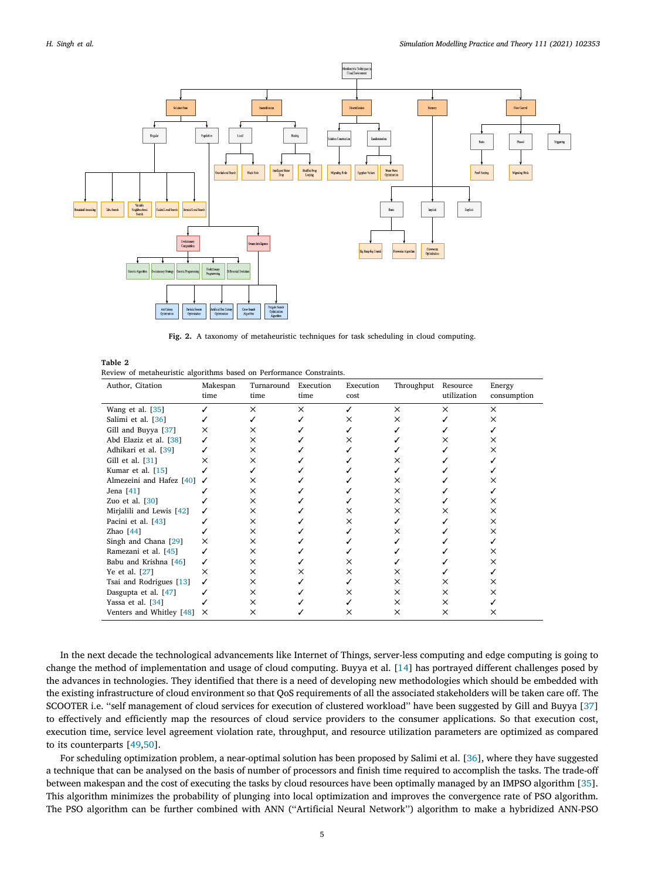

**Fig. 2.** A taxonomy of metaheuristic techniques for task scheduling in cloud computing.

<span id="page-4-1"></span><span id="page-4-0"></span>

| Table 2                                                              |  |  |  |
|----------------------------------------------------------------------|--|--|--|
| Review of metaheuristic algorithms based on Performance Constraints. |  |  |  |

| Author, Citation         | Makespan | Turnaround Execution |          | Execution | Throughput | Resource    | Energy      |  |
|--------------------------|----------|----------------------|----------|-----------|------------|-------------|-------------|--|
|                          | time     | time                 | time     | cost      |            | utilization | consumption |  |
| Wang et al. [35]         |          | $\times$             | $\times$ |           | X          | $\times$    | X           |  |
| Salimi et al. [36]       |          |                      |          | ×         | $\times$   |             | ×           |  |
| Gill and Buyya [37]      | $\times$ | ×                    |          |           |            |             |             |  |
| Abd Elaziz et al. [38]   |          | ×                    |          | ×         |            | x           | ×           |  |
| Adhikari et al. [39]     |          | ×                    |          |           |            |             | x           |  |
| Gill et al. $[31]$       | $\times$ | ×                    |          |           | x          |             |             |  |
| Kumar et al. [15]        |          |                      |          |           |            |             |             |  |
| Almezeini and Hafez [40] | ✓        | ×                    |          |           | ×          |             |             |  |
| Jena [41]                |          | ×                    |          |           | ×          |             |             |  |
| Zuo et al. $[30]$        |          | ×                    |          |           | ×          |             | ×           |  |
| Mirjalili and Lewis [42] |          | ×                    |          | ×         | ×          | ×           | ×           |  |
| Pacini et al. [43]       |          | ×                    |          | x         |            |             | ×           |  |
| Zhao $[44]$              |          | $\times$             |          |           | ×          |             | ×           |  |
| Singh and Chana [29]     | $\times$ | ×                    |          |           |            |             |             |  |
| Ramezani et al. [45]     |          | ×                    |          |           |            |             | ×           |  |
| Babu and Krishna [46]    |          | ×                    |          | ×         |            |             | ×           |  |
| Ye et al. [27]           | $\times$ | ×                    | ×        | ×         | ×          |             |             |  |
| Tsai and Rodrigues [13]  | ✓        | ×                    |          |           | ×          | ×           | ×           |  |
| Dasgupta et al. [47]     |          | ×                    |          | x         | ×          | ×           | x           |  |
| Yassa et al. [34]        |          | $\times$             |          |           | ×          | $\times$    |             |  |
| Venters and Whitley [48] | $\times$ | ×                    |          | x         | ×          | ×           | x           |  |

In the next decade the technological advancements like Internet of Things, server-less computing and edge computing is going to change the method of implementation and usage of cloud computing. Buyya et al. [[14\]](#page-19-12) has portrayed different challenges posed by the advances in technologies. They identified that there is a need of developing new methodologies which should be embedded with the existing infrastructure of cloud environment so that QoS requirements of all the associated stakeholders will be taken care off. The SCOOTER i.e. ''self management of cloud services for execution of clustered workload'' have been suggested by Gill and Buyya [[37\]](#page-20-19) to effectively and efficiently map the resources of cloud service providers to the consumer applications. So that execution cost, execution time, service level agreement violation rate, throughput, and resource utilization parameters are optimized as compared to its counterparts [[49](#page-20-31)[,50](#page-20-32)].

For scheduling optimization problem, a near-optimal solution has been proposed by Salimi et al. [[36\]](#page-20-18), where they have suggested a technique that can be analysed on the basis of number of processors and finish time required to accomplish the tasks. The trade-off between makespan and the cost of executing the tasks by cloud resources have been optimally managed by an IMPSO algorithm [[35\]](#page-20-17). This algorithm minimizes the probability of plunging into local optimization and improves the convergence rate of PSO algorithm. The PSO algorithm can be further combined with ANN (''Artificial Neural Network'') algorithm to make a hybridized ANN-PSO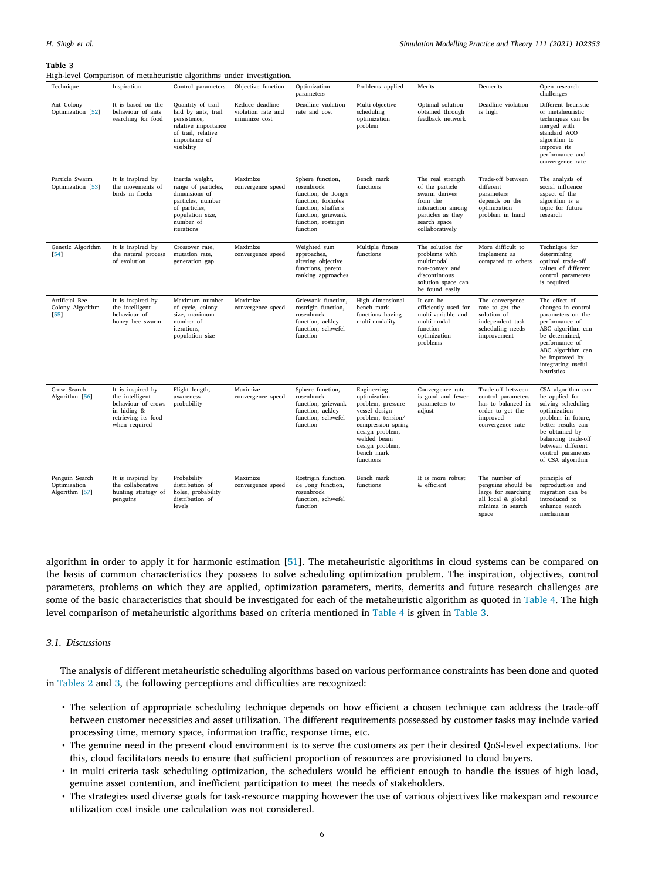<span id="page-5-0"></span>High-level Comparison of metaheuristic algorithms under investigation.

| ັ<br>x.                                          |                                                                                                                   | ັ                                                                                                                                            | ັ                                                      |                                                                                                                                                             |                                                                                                                                                                                              |                                                                                                                                                |                                                                                                                   |                                                                                                                                                                                                                               |
|--------------------------------------------------|-------------------------------------------------------------------------------------------------------------------|----------------------------------------------------------------------------------------------------------------------------------------------|--------------------------------------------------------|-------------------------------------------------------------------------------------------------------------------------------------------------------------|----------------------------------------------------------------------------------------------------------------------------------------------------------------------------------------------|------------------------------------------------------------------------------------------------------------------------------------------------|-------------------------------------------------------------------------------------------------------------------|-------------------------------------------------------------------------------------------------------------------------------------------------------------------------------------------------------------------------------|
| Technique                                        | Inspiration                                                                                                       | Control parameters                                                                                                                           | Objective function                                     | Optimization<br>parameters                                                                                                                                  | Problems applied                                                                                                                                                                             | Merits                                                                                                                                         | Demerits                                                                                                          | Open research<br>challenges                                                                                                                                                                                                   |
| Ant Colony<br>Optimization [52]                  | It is based on the<br>behaviour of ants<br>searching for food                                                     | Quantity of trail<br>laid by ants, trail<br>persistence,<br>relative importance<br>of trail, relative<br>importance of<br>visibility         | Reduce deadline<br>violation rate and<br>minimize cost | Deadline violation<br>rate and cost                                                                                                                         | Multi-objective<br>scheduling<br>optimization<br>problem                                                                                                                                     | Optimal solution<br>obtained through<br>feedback network                                                                                       | Deadline violation<br>is high                                                                                     | Different heuristic<br>or metaheuristic<br>techniques can be<br>merged with<br>standard ACO<br>algorithm to<br>improve its<br>performance and<br>convergence rate                                                             |
| Particle Swarm<br>Optimization [53]              | It is inspired by<br>the movements of<br>birds in flocks                                                          | Inertia weight,<br>range of particles,<br>dimensions of<br>particles, number<br>of particles,<br>population size,<br>number of<br>iterations | Maximize<br>convergence speed                          | Sphere function,<br>rosenbrock<br>function, de Jong's<br>function, foxholes<br>function, shaffer's<br>function, griewank<br>function, rostrigin<br>function | Bench mark<br>functions                                                                                                                                                                      | The real strength<br>of the particle<br>swarm derives<br>from the<br>interaction among<br>particles as they<br>search space<br>collaboratively | Trade-off between<br>different<br>parameters<br>depends on the<br>optimization<br>problem in hand                 | The analysis of<br>social influence<br>aspect of the<br>algorithm is a<br>topic for future<br>research                                                                                                                        |
| Genetic Algorithm<br>$[54]$                      | It is inspired by<br>the natural process<br>of evolution                                                          | Crossover rate,<br>mutation rate,<br>generation gap                                                                                          | Maximize<br>convergence speed                          | Weighted sum<br>approaches,<br>altering objective<br>functions, pareto<br>ranking approaches                                                                | Multiple fitness<br>functions                                                                                                                                                                | The solution for<br>problems with<br>multimodal,<br>non-convex and<br>discontinuous<br>solution space can<br>be found easily                   | More difficult to<br>implement as<br>compared to others                                                           | Technique for<br>determining<br>optimal trade-off<br>values of different<br>control parameters<br>is required                                                                                                                 |
| Artificial Bee<br>Colony Algorithm<br>[55]       | It is inspired by<br>the intelligent<br>behaviour of<br>honey bee swarm                                           | Maximum number<br>of cycle, colony<br>size, maximum<br>number of<br>iterations,<br>population size                                           | Maximize<br>convergence speed                          | Griewank function,<br>rostrigin function,<br>rosenbrock<br>function, ackley<br>function, schwefel<br>function                                               | High dimensional<br>bench mark<br>functions having<br>multi-modality                                                                                                                         | It can be<br>efficiently used for<br>multi-variable and<br>multi-modal<br>function<br>optimization<br>problems                                 | The convergence<br>rate to get the<br>solution of<br>independent task<br>scheduling needs<br>improvement          | The effect of<br>changes in control<br>parameters on the<br>performance of<br>ABC algorithm can<br>be determined,<br>performance of<br>ABC algorithm can<br>be improved by<br>integrating useful<br>heuristics                |
| Crow Search<br>Algorithm [56]                    | It is inspired by<br>the intelligent<br>behaviour of crows<br>in hiding &<br>retrieving its food<br>when required | Flight length,<br>awareness<br>probability                                                                                                   | Maximize<br>convergence speed                          | Sphere function,<br>rosenbrock<br>function, griewank<br>function, ackley<br>function, schwefel<br>function                                                  | Engineering<br>optimization<br>problem, pressure<br>vessel design<br>problem, tension/<br>compression spring<br>design problem,<br>welded beam<br>design problem,<br>bench mark<br>functions | Convergence rate<br>is good and fewer<br>parameters to<br>adjust                                                                               | Trade-off between<br>control parameters<br>has to balanced in<br>order to get the<br>improved<br>convergence rate | CSA algorithm can<br>be applied for<br>solving scheduling<br>optimization<br>problem in future,<br>better results can<br>be obtained by<br>balancing trade-off<br>between different<br>control parameters<br>of CSA algorithm |
| Penguin Search<br>Optimization<br>Algorithm [57] | It is inspired by<br>the collaborative<br>hunting strategy of<br>penguins                                         | Probability<br>distribution of<br>holes, probability<br>distribution of<br>levels                                                            | Maximize<br>convergence speed                          | Rostrigin function,<br>de Jong function,<br>rosenbrock<br>function, schwefel<br>function                                                                    | Bench mark<br>functions                                                                                                                                                                      | It is more robust<br>& efficient                                                                                                               | The number of<br>penguins should be<br>large for searching<br>all local & global<br>minima in search<br>space     | principle of<br>reproduction and<br>migration can be<br>introduced to<br>enhance search<br>mechanism                                                                                                                          |

algorithm in order to apply it for harmonic estimation [[51\]](#page-20-34). The metaheuristic algorithms in cloud systems can be compared on the basis of common characteristics they possess to solve scheduling optimization problem. The inspiration, objectives, control parameters, problems on which they are applied, optimization parameters, merits, demerits and future research challenges are some of the basic characteristics that should be investigated for each of the metaheuristic algorithm as quoted in [Table](#page-6-1) [4.](#page-6-1) The high level comparison of metaheuristic algorithms based on criteria mentioned in [Table](#page-6-1) [4](#page-6-1) is given in [Table](#page-5-0) [3](#page-5-0).

## *3.1. Discussions*

The analysis of different metaheuristic scheduling algorithms based on various performance constraints has been done and quoted in [Tables](#page-4-1) [2](#page-4-1) and [3](#page-5-0), the following perceptions and difficulties are recognized:

- The selection of appropriate scheduling technique depends on how efficient a chosen technique can address the trade-off between customer necessities and asset utilization. The different requirements possessed by customer tasks may include varied processing time, memory space, information traffic, response time, etc.
- The genuine need in the present cloud environment is to serve the customers as per their desired QoS-level expectations. For this, cloud facilitators needs to ensure that sufficient proportion of resources are provisioned to cloud buyers.
- In multi criteria task scheduling optimization, the schedulers would be efficient enough to handle the issues of high load, genuine asset contention, and inefficient participation to meet the needs of stakeholders.
- The strategies used diverse goals for task-resource mapping however the use of various objectives like makespan and resource utilization cost inside one calculation was not considered.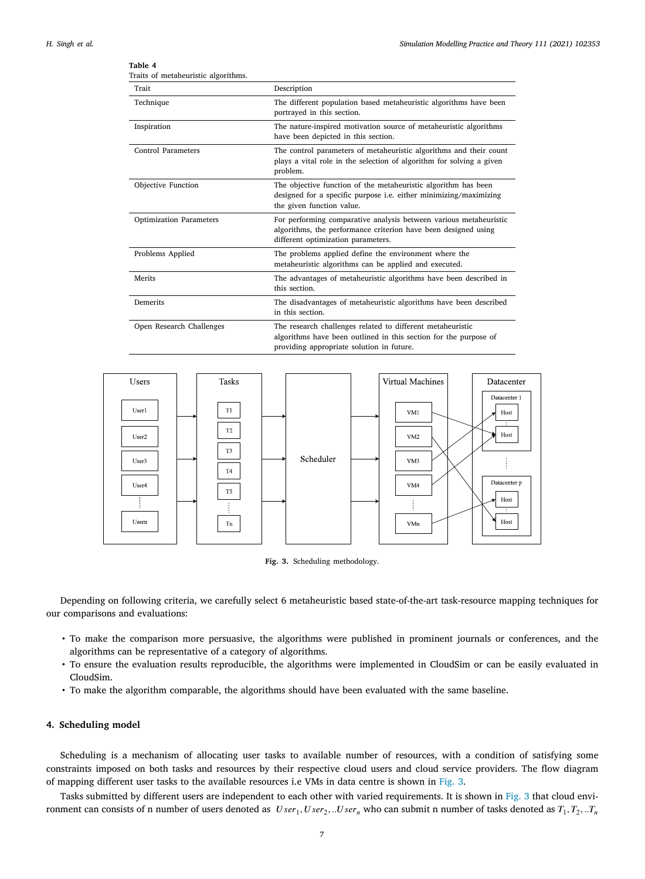<span id="page-6-1"></span>

| Trait                          | Description                                                                                                                                                                 |
|--------------------------------|-----------------------------------------------------------------------------------------------------------------------------------------------------------------------------|
| Technique                      | The different population based metaheuristic algorithms have been<br>portrayed in this section.                                                                             |
| Inspiration                    | The nature-inspired motivation source of metaheuristic algorithms<br>have been depicted in this section.                                                                    |
| Control Parameters             | The control parameters of metaheuristic algorithms and their count<br>plays a vital role in the selection of algorithm for solving a given<br>problem.                      |
| <b>Objective Function</b>      | The objective function of the metaheuristic algorithm has been<br>designed for a specific purpose i.e. either minimizing/maximizing<br>the given function value.            |
| <b>Optimization Parameters</b> | For performing comparative analysis between various metaheuristic<br>algorithms, the performance criterion have been designed using<br>different optimization parameters.   |
| Problems Applied               | The problems applied define the environment where the<br>metaheuristic algorithms can be applied and executed.                                                              |
| Merits                         | The advantages of metaheuristic algorithms have been described in<br>this section.                                                                                          |
| Demerits                       | The disadvantages of metaheuristic algorithms have been described<br>in this section.                                                                                       |
| Open Research Challenges       | The research challenges related to different metaheuristic<br>algorithms have been outlined in this section for the purpose of<br>providing appropriate solution in future. |





<span id="page-6-2"></span>Depending on following criteria, we carefully select 6 metaheuristic based state-of-the-art task-resource mapping techniques for our comparisons and evaluations:

- To make the comparison more persuasive, the algorithms were published in prominent journals or conferences, and the algorithms can be representative of a category of algorithms.
- To ensure the evaluation results reproducible, the algorithms were implemented in CloudSim or can be easily evaluated in CloudSim.
- To make the algorithm comparable, the algorithms should have been evaluated with the same baseline.

## **4. Scheduling model**

<span id="page-6-0"></span>Scheduling is a mechanism of allocating user tasks to available number of resources, with a condition of satisfying some constraints imposed on both tasks and resources by their respective cloud users and cloud service providers. The flow diagram of mapping different user tasks to the available resources i.e VMs in data centre is shown in [Fig.](#page-6-2) [3.](#page-6-2)

Tasks submitted by different users are independent to each other with varied requirements. It is shown in [Fig.](#page-6-2) [3](#page-6-2) that cloud environment can consists of n number of users denoted as  $User_1, User_2, ...User_n$  who can submit n number of tasks denoted as  $T_1, T_2, ...T_n$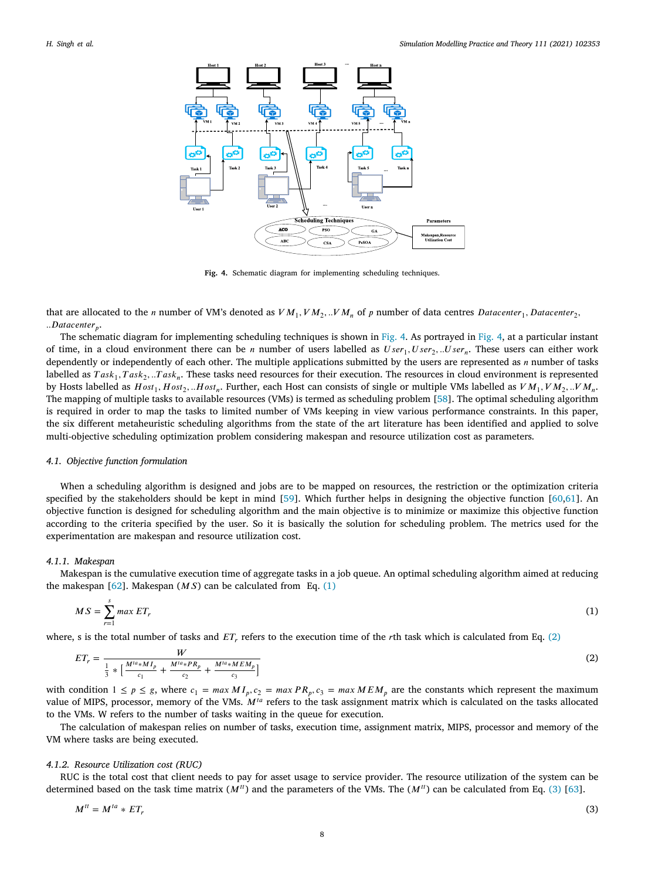

<span id="page-7-1"></span>**Fig. 4.** Schematic diagram for implementing scheduling techniques.

<span id="page-7-0"></span>that are allocated to the *n* number of VM's denoted as  $VM_1, VM_2, ..VM_n$  of *p* number of data centres *Datacenter*<sub>1</sub>, *Datacenter*<sub>2</sub>, *..* .

The schematic diagram for implementing scheduling techniques is shown in [Fig.](#page-7-0) [4](#page-7-0). As portrayed in [Fig.](#page-7-0) [4,](#page-7-0) at a particular instant of time, in a cloud environment there can be *n* number of users labelled as  $User_1, User_2, ...User_n$ . These users can either work dependently or independently of each other. The multiple applications submitted by the users are represented as  $n$  number of tasks labelled as  $Task_1, Task_2, ...Task_n$ . These tasks need resources for their execution. The resources in cloud environment is represented by Hosts labelled as  $Host_1$ ,  $Host_2$ , .. $Host_n$ . Further, each Host can consists of single or multiple VMs labelled as  $VM_1$ ,  $VM_2$ , .. $VM_n$ , The mapping of multiple tasks to available resources (VMs) is termed as scheduling problem [[58\]](#page-21-5). The optimal scheduling algorithm is required in order to map the tasks to limited number of VMs keeping in view various performance constraints. In this paper, the six different metaheuristic scheduling algorithms from the state of the art literature has been identified and applied to solve multi-objective scheduling optimization problem considering makespan and resource utilization cost as parameters.

#### *4.1. Objective function formulation*

When a scheduling algorithm is designed and jobs are to be mapped on resources, the restriction or the optimization criteria specified by the stakeholders should be kept in mind [\[59](#page-21-6)]. Which further helps in designing the objective function [[60,](#page-21-7)[61](#page-21-8)]. An objective function is designed for scheduling algorithm and the main objective is to minimize or maximize this objective function according to the criteria specified by the user. So it is basically the solution for scheduling problem. The metrics used for the experimentation are makespan and resource utilization cost.

#### *4.1.1. Makespan*

Makespan is the cumulative execution time of aggregate tasks in a job queue. An optimal scheduling algorithm aimed at reducing the makespan [\[62](#page-21-9)]. Makespan  $(MS)$  can be calculated from Eq. ([1\)](#page-7-1)

$$
MS = \sum_{r=1}^{s} \max ET_r \tag{1}
$$

where, s is the total number of tasks and  $ET_r$ , refers to the execution time of the rth task which is calculated from Eq. ([2](#page-7-2))

<span id="page-7-2"></span>
$$
ET_r = \frac{W}{\frac{1}{3} * \left[ \frac{M^{ia} * M I_p}{c_1} + \frac{M^{ia} * P R_p}{c_2} + \frac{M^{ia} * M E M_p}{c_3} \right]}
$$
(2)

with condition  $1 \le p \le g$ , where  $c_1 = \max M I_p$ ,  $c_2 = \max PR_p$ ,  $c_3 = \max MEM_p$  are the constants which represent the maximum value of MIPS, processor, memory of the VMs.  $M^{ta}$  refers to the task assignment matrix which is calculated on the tasks allocated to the VMs. W refers to the number of tasks waiting in the queue for execution.

The calculation of makespan relies on number of tasks, execution time, assignment matrix, MIPS, processor and memory of the VM where tasks are being executed.

#### *4.1.2. Resource Utilization cost (RUC)*

RUC is the total cost that client needs to pay for asset usage to service provider. The resource utilization of the system can be determined based on the task time matrix  $(M^u)$  and the parameters of the VMs. The  $(M^u)$  can be calculated from Eq. [\(3\)](#page-7-3) [[63\]](#page-21-10).

<span id="page-7-3"></span>
$$
M^{tt} = M^{ta} * ET_r \tag{3}
$$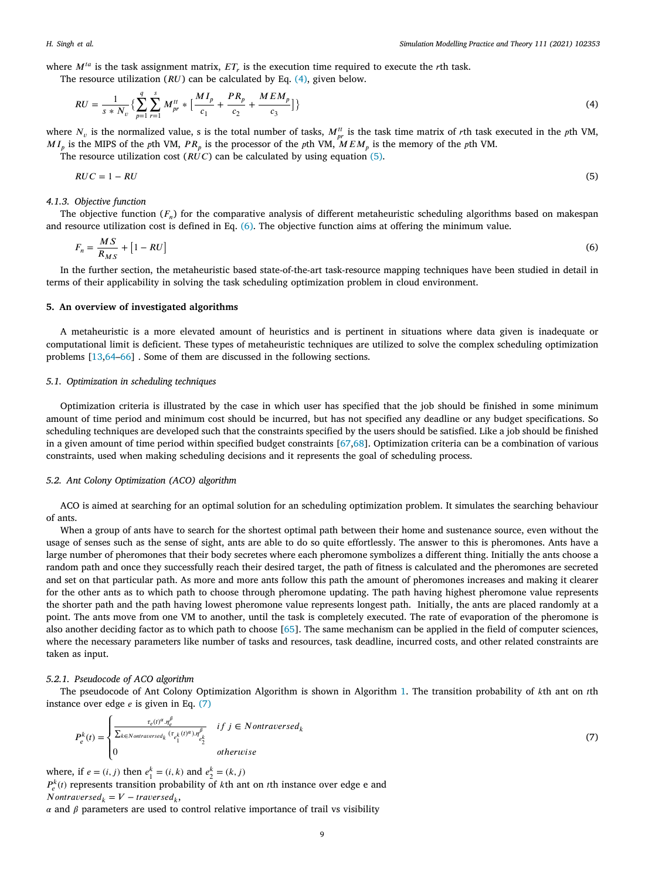where  $M^{ta}$  is the task assignment matrix,  $ET_r$  is the execution time required to execute the rth task.

The resource utilization  $(RU)$  can be calculated by Eq.  $(4)$  $(4)$  $(4)$ , given below.

<span id="page-8-1"></span>
$$
RU = \frac{1}{s*N_v} \left\{ \sum_{p=1}^{q} \sum_{r=1}^{s} M_{pr}^{tt} * \left[ \frac{MI_p}{c_1} + \frac{PR_p}{c_2} + \frac{MEM_p}{c_3} \right] \right\}
$$
(4)

where  $N_v$  is the normalized value, s is the total number of tasks,  $M_{pr}^{tt}$  is the task time matrix of rth task executed in the pth VM,  $MI_p$  is the MIPS of the pth VM,  $PR_p$  is the processor of the pth VM,  $MEM_p$  is the memory of the pth VM.

The resource utilization cost ( $\overline{RUC}$ ) can be calculated by using equation ([5\)](#page-8-2).

<span id="page-8-2"></span>
$$
RUC = 1 - RU \tag{5}
$$

## *4.1.3. Objective function*

The objective function  $(F_n)$  for the comparative analysis of different metaheuristic scheduling algorithms based on makespan and resource utilization cost is defined in Eq. [\(6\)](#page-8-3). The objective function aims at offering the minimum value.

<span id="page-8-3"></span>
$$
F_n = \frac{MS}{R_{MS}} + [1 - RU] \tag{6}
$$

In the further section, the metaheuristic based state-of-the-art task-resource mapping techniques have been studied in detail in terms of their applicability in solving the task scheduling optimization problem in cloud environment.

#### **5. An overview of investigated algorithms**

<span id="page-8-0"></span>A metaheuristic is a more elevated amount of heuristics and is pertinent in situations where data given is inadequate or computational limit is deficient. These types of metaheuristic techniques are utilized to solve the complex scheduling optimization problems [[13,](#page-19-11)[64–](#page-21-11)[66\]](#page-21-12) . Some of them are discussed in the following sections.

#### *5.1. Optimization in scheduling techniques*

Optimization criteria is illustrated by the case in which user has specified that the job should be finished in some minimum amount of time period and minimum cost should be incurred, but has not specified any deadline or any budget specifications. So scheduling techniques are developed such that the constraints specified by the users should be satisfied. Like a job should be finished in a given amount of time period within specified budget constraints [\[67](#page-21-13),[68\]](#page-21-14). Optimization criteria can be a combination of various constraints, used when making scheduling decisions and it represents the goal of scheduling process.

# *5.2. Ant Colony Optimization (ACO) algorithm*

ACO is aimed at searching for an optimal solution for an scheduling optimization problem. It simulates the searching behaviour of ants.

When a group of ants have to search for the shortest optimal path between their home and sustenance source, even without the usage of senses such as the sense of sight, ants are able to do so quite effortlessly. The answer to this is pheromones. Ants have a large number of pheromones that their body secretes where each pheromone symbolizes a different thing. Initially the ants choose a random path and once they successfully reach their desired target, the path of fitness is calculated and the pheromones are secreted and set on that particular path. As more and more ants follow this path the amount of pheromones increases and making it clearer for the other ants as to which path to choose through pheromone updating. The path having highest pheromone value represents the shorter path and the path having lowest pheromone value represents longest path. Initially, the ants are placed randomly at a point. The ants move from one VM to another, until the task is completely executed. The rate of evaporation of the pheromone is also another deciding factor as to which path to choose [[65\]](#page-21-15). The same mechanism can be applied in the field of computer sciences, where the necessary parameters like number of tasks and resources, task deadline, incurred costs, and other related constraints are taken as input.

#### *5.2.1. Pseudocode of ACO algorithm*

The pseudocode of Ant Colony Optimization Algorithm is shown in Algorithm [1.](#page-9-0) The transition probability of th ant on th instance over edge  $e$  is given in Eq.  $(7)$  $(7)$  $(7)$ 

<span id="page-8-4"></span>
$$
P_e^k(t) = \begin{cases} \frac{\tau_e(t)^{\alpha} \eta_e^{\beta}}{\sum_{k \in Nontraversed_k} (\tau_{e_1^k}(t)^{\alpha}) \eta_{e_2^k}^{\beta}} & \text{if } j \in Nontraversed_k\\ 0 & \text{otherwise} \end{cases} \tag{7}
$$

where, if  $e = (i, j)$  then  $e_1^k = (i, k)$  and  $e_2^k = (k, j)$  $P_e^k(t)$  represents transition probability of kth ant on the instance over edge e and  $Nontraversed_k = V - traversed_k,$ 

 $\alpha$  and  $\beta$  parameters are used to control relative importance of trail vs visibility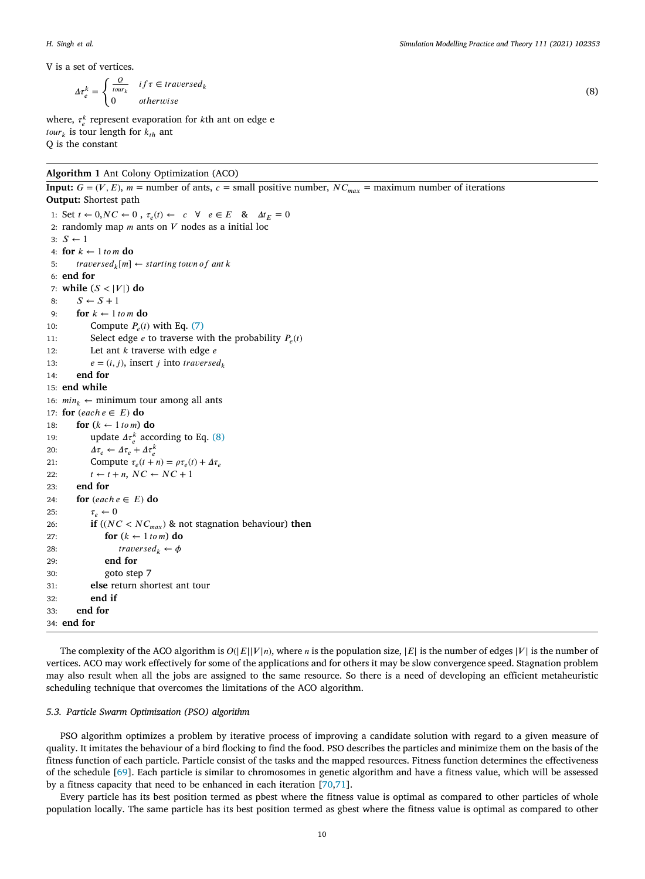$\Delta \tau_e^k =$  $\int Q$  $\frac{Q}{\text{tour}_k}$  if  $\tau \in \text{traversed}_k$ 0 *otherwise* 

where,  $\tau_e^k$  represent evaporation for *k*th ant on edge e  $\textit{tour}_k$  is tour length for  $k_{th}$  ant Q is the constant

<span id="page-9-0"></span>**Algorithm 1** Ant Colony Optimization (ACO)

**Input:**  $G = (V, E)$ ,  $m =$  number of ants,  $c =$  small positive number,  $NC_{max} =$  maximum number of iterations **Output:** Shortest path 1: Set  $t \leftarrow 0, NC \leftarrow 0$ ,  $\tau_e(t) \leftarrow c \quad \forall e \in E \quad \& \Delta t_E = 0$ 2: randomly map  $m$  ants on  $V$  nodes as a initial loc  $3: S \leftarrow 1$ 4: **for**  $k \leftarrow 1$  *to m* **do** 5:  $travel_k[m] \leftarrow starting \, town \, of \, ant \, k$ 6: **end for** 7: while  $(S < |V|)$  do 8:  $S \leftarrow S + 1$ 9: **for**  $k \leftarrow 1$  *tom* **do** 10: Compute  $P_e(t)$  with Eq. ([7](#page-8-4)) 11: Select edge *e* to traverse with the probability  $P_e(t)$ 12: Let ant  $k$  traverse with edge  $e$ 13:  $e = (i, j)$ , insert *j* into *traversed*<sub>k</sub> 14: **end for** 15: **end while** 16:  $min_k \leftarrow$  minimum tour among all ants 17: **for**  $(each e \in E)$  **do** 18: **for**  $(k \leftarrow 1 \text{ to } m)$  **do** 19: update  $\Delta \tau_e^k$  according to Eq. [\(8\)](#page-9-1) 20:  $\Delta \tau_e \leftarrow \Delta \tau_e + \Delta \tau_e^k$ 21: Compute  $\tau_e(t+n) = \rho \tau_e(t) + \Delta \tau_e$ 22:  $t \leftarrow t + n, NC \leftarrow NC + 1$ 23: **end for** 24: **for**  $\text{(each } e \in E)$  **do** 25:  $\tau_e \leftarrow 0$ 26: **if**  $((NC < NC_{max})$  & not stagnation behaviour) then 27: **for**  $(k \leftarrow 1 \text{ to } m)$  **do** 28:  $traversed_k \leftarrow \phi$ 29: **end for** 30: goto step 7 31: **else** return shortest ant tour 32: **end if** 33: **end for** 34: **end for**

The complexity of the ACO algorithm is  $O(|E||V|n)$ , where *n* is the population size,  $|E|$  is the number of edges  $|V|$  is the number of vertices. ACO may work effectively for some of the applications and for others it may be slow convergence speed. Stagnation problem may also result when all the jobs are assigned to the same resource. So there is a need of developing an efficient metaheuristic scheduling technique that overcomes the limitations of the ACO algorithm.

# *5.3. Particle Swarm Optimization (PSO) algorithm*

PSO algorithm optimizes a problem by iterative process of improving a candidate solution with regard to a given measure of quality. It imitates the behaviour of a bird flocking to find the food. PSO describes the particles and minimize them on the basis of the fitness function of each particle. Particle consist of the tasks and the mapped resources. Fitness function determines the effectiveness of the schedule [[69\]](#page-21-16). Each particle is similar to chromosomes in genetic algorithm and have a fitness value, which will be assessed by a fitness capacity that need to be enhanced in each iteration [[70,](#page-21-17)[71](#page-21-18)].

Every particle has its best position termed as pbest where the fitness value is optimal as compared to other particles of whole population locally. The same particle has its best position termed as gbest where the fitness value is optimal as compared to other

<span id="page-9-1"></span>(8)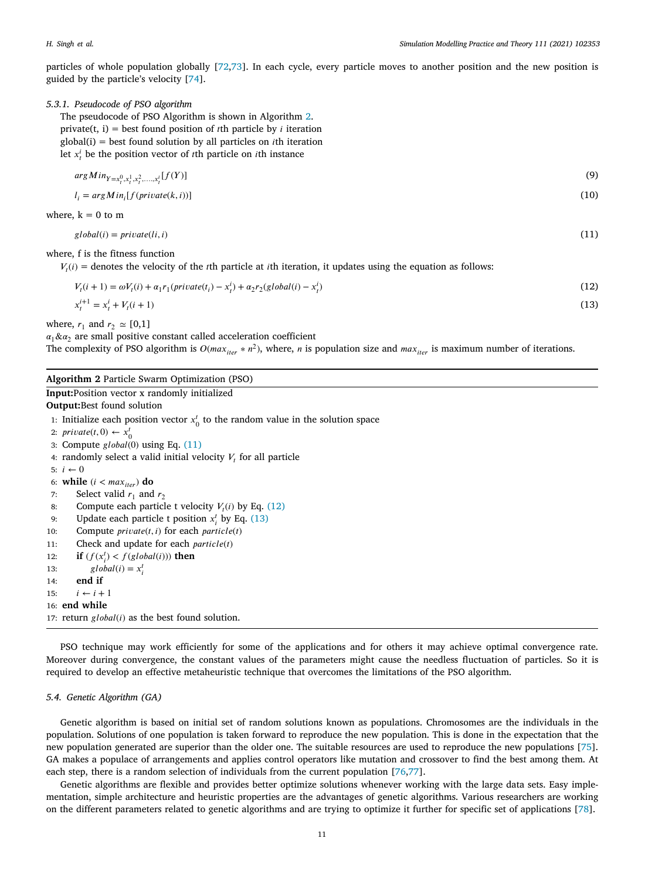particles of whole population globally [\[72](#page-21-19)[,73](#page-21-20)]. In each cycle, every particle moves to another position and the new position is guided by the particle's velocity [\[74](#page-21-21)].

## *5.3.1. Pseudocode of PSO algorithm*

The pseudocode of PSO Algorithm is shown in Algorithm [2.](#page-10-0) private(t, i) = best found position of *t*th particle by *i* iteration  $global(i) = best found solution by all particles on *i*th iteration$ let  $x_t^i$  be the position vector of *t*th particle on *i*th instance

<span id="page-10-1"></span>
$$
argMin_{Y=x_i^0, x_i^1, x_i^2, \dots, x_i^l}[f(Y)]
$$
\n
$$
(9)
$$

$$
l_i = argMin_i[f(private(k, i))]
$$
\n<sup>(10)</sup>

where, 
$$
k = 0
$$
 to m

 $\gcd(bal(i) = private(li, i)$  (11)

where, f is the fitness function

 $V_t(i)$  = denotes the velocity of the *t*th particle at *i*th iteration, it updates using the equation as follows:

<span id="page-10-3"></span><span id="page-10-2"></span>
$$
V_t(i+1) = \omega V_t(i) + \alpha_1 r_1(\text{private}(t_i) - x_i^i) + \alpha_2 r_2(\text{global}(i) - x_i^i)
$$
\n(12)

$$
x_t^{i+1} = x_t^i + V_t(i+1) \tag{13}
$$

where,  $r_1$  and  $r_2 \approx [0,1]$ 

 $\alpha_1 \& \alpha_2$  are small positive constant called acceleration coefficient The complexity of PSO algorithm is  $O(max_{iter} * n^2)$ , where, *n* is population size and  $max_{iter}$  is maximum number of iterations.

#### <span id="page-10-0"></span>**Algorithm 2** Particle Swarm Optimization (PSO)

**Input:**Position vector x randomly initialized

**Output:**Best found solution

1: Initialize each position vector  $x_0^t$  to the random value in the solution space

2:  $\text{private}(t, 0) \leftarrow x_0^t$ 

3: Compute  $global(0)$  using Eq.  $(11)$  $(11)$ 

4: randomly select a valid initial velocity  $V_t$  for all particle

5:  $i \leftarrow 0$ 

6: **while**  $(i < max_{iter})$  **do** 

```
7: Select valid r_1 and r_2
```

```
8: Compute each particle t velocity V_t(i)12)
```
- 9: Update each particle t position  $x_i^t$  by Eq. ([13\)](#page-10-3)
- 10: Compute  $private(t, i)$  for each  $particle(t)$
- 11: Check and update for each  $particle(t)$

```
12: if (f(x_i^t) < f(global(i))) then
```
- 13:  $\qquad \qquad global(i) = x_i^t$
- 14: **end if**

```
15: i \leftarrow i + 1
```
16: **end while**

```
17: return global(i) as the best found solution.
```
PSO technique may work efficiently for some of the applications and for others it may achieve optimal convergence rate. Moreover during convergence, the constant values of the parameters might cause the needless fluctuation of particles. So it is required to develop an effective metaheuristic technique that overcomes the limitations of the PSO algorithm.

#### *5.4. Genetic Algorithm (GA)*

Genetic algorithm is based on initial set of random solutions known as populations. Chromosomes are the individuals in the population. Solutions of one population is taken forward to reproduce the new population. This is done in the expectation that the new population generated are superior than the older one. The suitable resources are used to reproduce the new populations [[75\]](#page-21-22). GA makes a populace of arrangements and applies control operators like mutation and crossover to find the best among them. At each step, there is a random selection of individuals from the current population [[76,](#page-21-23)[77\]](#page-21-24).

Genetic algorithms are flexible and provides better optimize solutions whenever working with the large data sets. Easy implementation, simple architecture and heuristic properties are the advantages of genetic algorithms. Various researchers are working on the different parameters related to genetic algorithms and are trying to optimize it further for specific set of applications [[78\]](#page-21-25).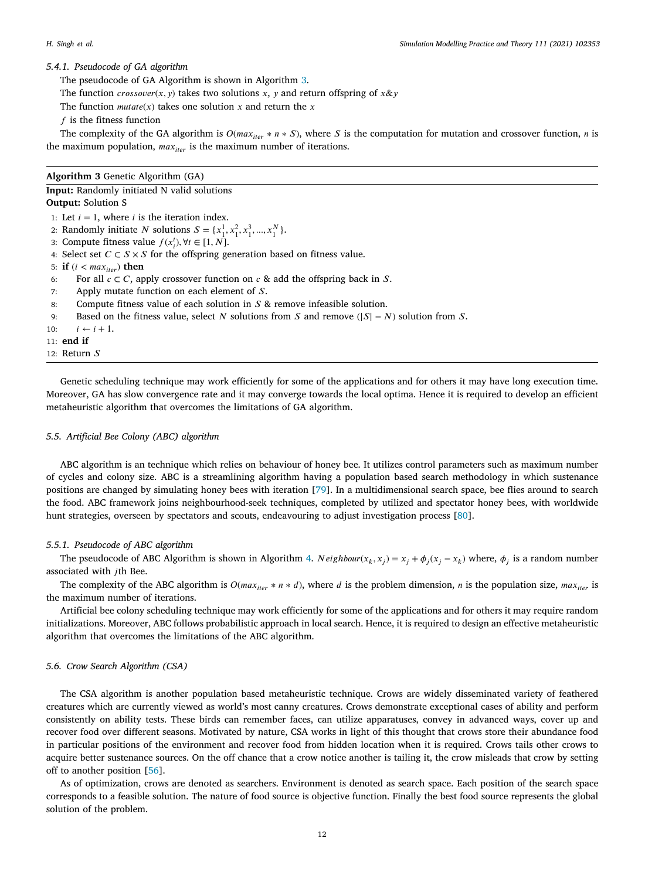*H. Singh et al.*

## *5.4.1. Pseudocode of GA algorithm*

The pseudocode of GA Algorithm is shown in Algorithm [3.](#page-11-0)

The function *crossover*(*x*, *y*) takes two solutions *x*, *y* and return offspring of  $x \& y$ 

The function  $mutate(x)$  takes one solution  $x$  and return the  $x$ 

 $f$  is the fitness function

The complexity of the GA algorithm is  $O(max_{iter} * n * S)$ , where S is the computation for mutation and crossover function, *n* is the maximum population,  $max_{iter}$  is the maximum number of iterations.

## <span id="page-11-0"></span>**Algorithm 3** Genetic Algorithm (GA)

**Input:** Randomly initiated N valid solutions **Output:** Solution S

1: Let  $i = 1$ , where  $i$  is the iteration index.

- 2: Randomly initiate *N* solutions  $S = \{x_1^1, x_1^2, x_1^3, ..., x_1^N\}$ .
- 3: Compute fitness value  $f(x_i^t), \forall t \in [1, N]$ .

4: Select set  $C \subset S \times S$  for the offspring generation based on fitness value.

5: **if**  $(i < max_{iter})$  **then** 

6: For all  $c \subset C$ , apply crossover function on  $c \&$  add the offspring back in S.

7: Apply mutate function on each element of  $S$ .

8: Compute fitness value of each solution in  $S$  & remove infeasible solution.

- 9: Based on the fitness value, select N solutions from S and remove ( $|S| N$ ) solution from S.
- 10:  $i \leftarrow i + 1$ .
- 11: **end if**
- 12: Return

Genetic scheduling technique may work efficiently for some of the applications and for others it may have long execution time. Moreover, GA has slow convergence rate and it may converge towards the local optima. Hence it is required to develop an efficient metaheuristic algorithm that overcomes the limitations of GA algorithm.

## *5.5. Artificial Bee Colony (ABC) algorithm*

ABC algorithm is an technique which relies on behaviour of honey bee. It utilizes control parameters such as maximum number of cycles and colony size. ABC is a streamlining algorithm having a population based search methodology in which sustenance positions are changed by simulating honey bees with iteration [[79](#page-21-26)]. In a multidimensional search space, bee flies around to search the food. ABC framework joins neighbourhood-seek techniques, completed by utilized and spectator honey bees, with worldwide hunt strategies, overseen by spectators and scouts, endeavouring to adjust investigation process [[80\]](#page-21-27).

## *5.5.1. Pseudocode of ABC algorithm*

The pseudocode of ABC Algorithm is shown in Algorithm [4.](#page-12-0)  $Neighbour(x_k, x_j) = x_j + \phi_j(x_j - x_k)$  where,  $\phi_j$  is a random number associated with jth Bee.

The complexity of the ABC algorithm is  $O(max_{iter} * n * d)$ , where d is the problem dimension, n is the population size,  $max_{iter}$  is the maximum number of iterations.

Artificial bee colony scheduling technique may work efficiently for some of the applications and for others it may require random initializations. Moreover, ABC follows probabilistic approach in local search. Hence, it is required to design an effective metaheuristic algorithm that overcomes the limitations of the ABC algorithm.

#### *5.6. Crow Search Algorithm (CSA)*

The CSA algorithm is another population based metaheuristic technique. Crows are widely disseminated variety of feathered creatures which are currently viewed as world's most canny creatures. Crows demonstrate exceptional cases of ability and perform consistently on ability tests. These birds can remember faces, can utilize apparatuses, convey in advanced ways, cover up and recover food over different seasons. Motivated by nature, CSA works in light of this thought that crows store their abundance food in particular positions of the environment and recover food from hidden location when it is required. Crows tails other crows to acquire better sustenance sources. On the off chance that a crow notice another is tailing it, the crow misleads that crow by setting off to another position [\[56](#page-21-3)].

As of optimization, crows are denoted as searchers. Environment is denoted as search space. Each position of the search space corresponds to a feasible solution. The nature of food source is objective function. Finally the best food source represents the global solution of the problem.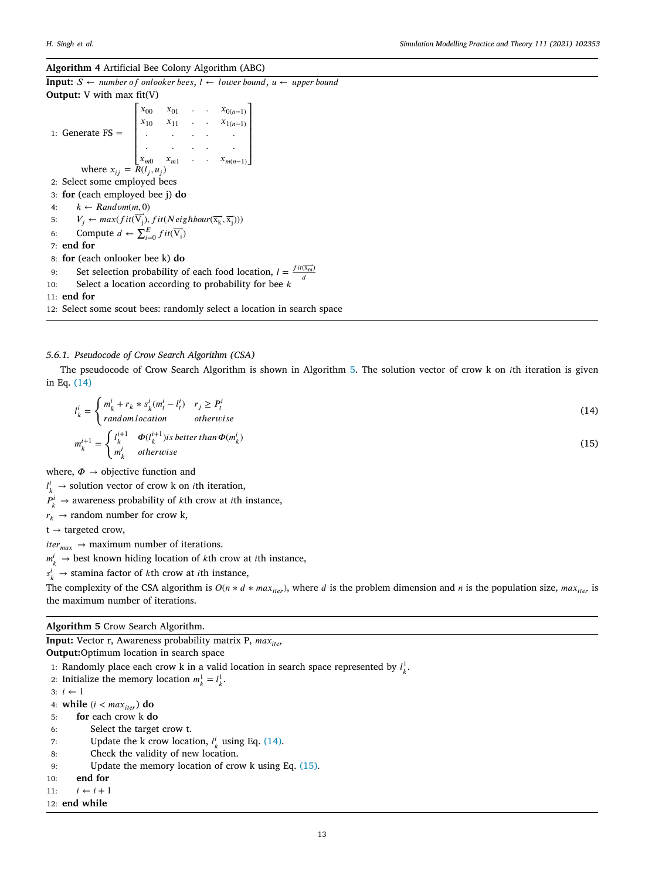#### <span id="page-12-0"></span>**Algorithm 4** Artificial Bee Colony Algorithm (ABC)

**Input:**  $S \leftarrow$  *number of onlooker bees,*  $I \leftarrow$  *lower bound,*  $u \leftarrow$  *upper bound* **Output:** V with max fit(V) 1: Generate  $FS =$ ╎  $x_{01}$  .  $x_{0(n-1)}$  $x_{10}$   $x_{11}$  **.**  $x_{1(n-1)}$ *. . . . . . . . . .*  $x_{m0}$   $x_{m1}$  .  $x_{m(n-1)}$  $\blacksquare$ where  $x_{ij} = R(l_j, u_j)$ 2: Select some employed bees 3: **for** (each employed bee j) **do** 4:  $k \leftarrow Random(m, 0)$ 5:  $V_j \leftarrow max(fit(\overrightarrow{V_j}), fit(Neighbour(\overrightarrow{x_k}, \overrightarrow{x_j})))$ 6: Compute  $d \leftarrow \sum_{i=0}^{J} fit(\overrightarrow{V_i})$ 7: **end for** 8: **for** (each onlooker bee k) **do** 9: Set selection probability of each food location,  $l = \frac{fit(\vec{x}_m)}{d}$ 10: Select a location according to probability for bee  $k$ 11: **end for**

12: Select some scout bees: randomly select a location in search space

# *5.6.1. Pseudocode of Crow Search Algorithm (CSA)*

The pseudocode of Crow Search Algorithm is shown in Algorithm [5.](#page-12-1) The solution vector of crow k on *i*th iteration is given in Eq. ([14](#page-12-2))

$$
l_k^i = \begin{cases} m_k^i + r_k * s_k^i (m_t^i - l_i^i) & r_j \ge P_t^i \\ random location & otherwise \end{cases}
$$
 (14)

$$
m_k^{i+1} = \begin{cases} l_k^{i+1} & \Phi(l_k^{i+1}) \text{ is better than } \Phi(m_k^i) \\ m_k^i & \text{otherwise} \end{cases}
$$
 (15)

where,  $\Phi \rightarrow$  objective function and

 $l_k^i \rightarrow$  solution vector of crow k on *i*th iteration,

 $P_k^i \rightarrow$  awareness probability of *k*th crow at *i*th instance,

 $r_k \rightarrow$  random number for crow k,

 $t \rightarrow$  targeted crow,

 $iter_{max} \rightarrow$  maximum number of iterations.

 $m_k^i \rightarrow$  best known hiding location of *k*th crow at *i*th instance,

 $s_k^i \rightarrow$  stamina factor of *k*th crow at *i*th instance,

The complexity of the CSA algorithm is  $O(n * d * max_{iter})$ , where d is the problem dimension and n is the population size,  $max_{iter}$  is the maximum number of iterations.

## <span id="page-12-1"></span>**Algorithm 5** Crow Search Algorithm.

**Input:** Vector r, Awareness probability matrix P, max<sub>iter</sub>

**Output:**Optimum location in search space

1: Randomly place each crow k in a valid location in search space represented by  $l_k^1$ .

2: Initialize the memory location  $m_k^1 = l_k^1$ .

3:  $i \leftarrow 1$ 

4: **while**  $(i < max_{iter})$  **do** 

- 5: **for** each crow k **do**
- 6: Select the target crow t.

7: Update the k crow location,  $l_k^i$  using Eq. ([14\)](#page-12-2).

8: Check the validity of new location.

9: Update the memory location of crow k using Eq. ([15\)](#page-12-3).

10: **end for**

11:  $i \leftarrow i + 1$ 

12: **end while**

<span id="page-12-3"></span><span id="page-12-2"></span>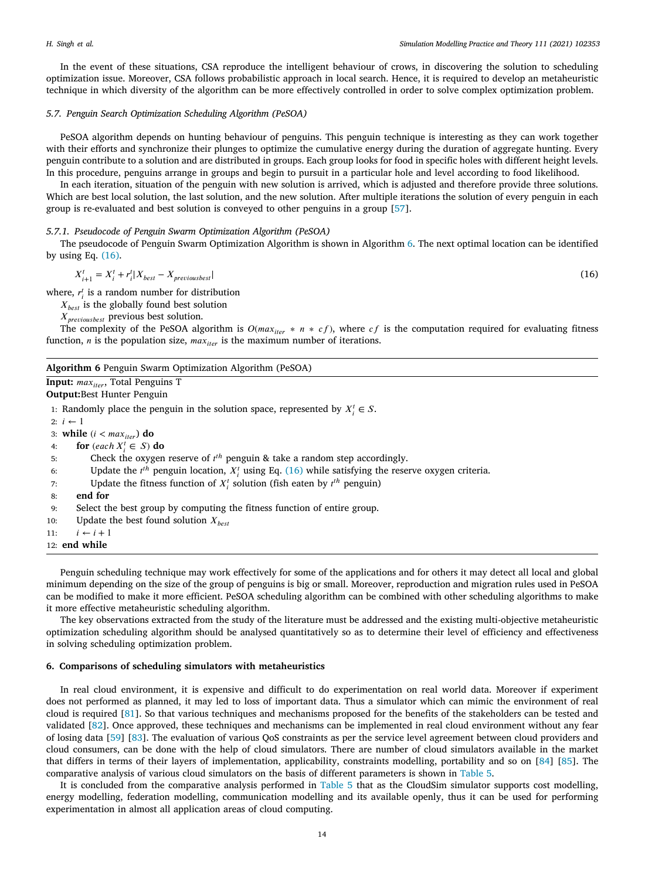In the event of these situations, CSA reproduce the intelligent behaviour of crows, in discovering the solution to scheduling optimization issue. Moreover, CSA follows probabilistic approach in local search. Hence, it is required to develop an metaheuristic technique in which diversity of the algorithm can be more effectively controlled in order to solve complex optimization problem.

## *5.7. Penguin Search Optimization Scheduling Algorithm (PeSOA)*

PeSOA algorithm depends on hunting behaviour of penguins. This penguin technique is interesting as they can work together with their efforts and synchronize their plunges to optimize the cumulative energy during the duration of aggregate hunting. Every penguin contribute to a solution and are distributed in groups. Each group looks for food in specific holes with different height levels. In this procedure, penguins arrange in groups and begin to pursuit in a particular hole and level according to food likelihood.

In each iteration, situation of the penguin with new solution is arrived, which is adjusted and therefore provide three solutions. Which are best local solution, the last solution, and the new solution. After multiple iterations the solution of every penguin in each group is re-evaluated and best solution is conveyed to other penguins in a group [[57\]](#page-21-4).

## *5.7.1. Pseudocode of Penguin Swarm Optimization Algorithm (PeSOA)*

The pseudocode of Penguin Swarm Optimization Algorithm is shown in Algorithm [6.](#page-13-1) The next optimal location can be identified by using Eq. ([16\)](#page-13-2).

$$
X_{i+1}^t = X_i^t + r_i^t | X_{best} - X_{previousbest} | \tag{16}
$$

where,  $r_i^t$  is a random number for distribution

 $X_{best}$  is the globally found best solution

X<sub>previousbest</sub> previous best solution.

The complexity of the PeSOA algorithm is  $O(max_{iter} * n * cf)$ , where  $cf$  is the computation required for evaluating fitness function,  $n$  is the population size,  $max_{iter}$  is the maximum number of iterations.

#### <span id="page-13-1"></span>**Algorithm 6** Penguin Swarm Optimization Algorithm (PeSOA)

**Input:** max<sub>iter</sub>, Total Penguins T

**Output:**Best Hunter Penguin

1: Randomly place the penguin in the solution space, represented by  $X_i^t \in S$ .

 $2: i \leftarrow 1$ 

3: **while**  $(i < max_{iter})$  **do** 

4: **for**  $\text{(each } X_i^t \in S)$  **do** 

5: Check the oxygen reserve of  $t<sup>th</sup>$  penguin & take a random step accordingly.

- 6: Update the  $t^{th}$  penguin location,  $X_i^t$  using Eq. ([16\)](#page-13-2) while satisfying the reserve oxygen criteria.
- 7: Update the fitness function of  $X_i^t$  solution (fish eaten by  $t^{th}$  penguin)
- 8: **end for**
- 9: Select the best group by computing the fitness function of entire group.
- 10: Update the best found solution  $X_{best}$

11:  $i \leftarrow i + 1$ 

12: **end while**

Penguin scheduling technique may work effectively for some of the applications and for others it may detect all local and global minimum depending on the size of the group of penguins is big or small. Moreover, reproduction and migration rules used in PeSOA can be modified to make it more efficient. PeSOA scheduling algorithm can be combined with other scheduling algorithms to make it more effective metaheuristic scheduling algorithm.

The key observations extracted from the study of the literature must be addressed and the existing multi-objective metaheuristic optimization scheduling algorithm should be analysed quantitatively so as to determine their level of efficiency and effectiveness in solving scheduling optimization problem.

#### **6. Comparisons of scheduling simulators with metaheuristics**

<span id="page-13-0"></span>In real cloud environment, it is expensive and difficult to do experimentation on real world data. Moreover if experiment does not performed as planned, it may led to loss of important data. Thus a simulator which can mimic the environment of real cloud is required [\[81](#page-21-28)]. So that various techniques and mechanisms proposed for the benefits of the stakeholders can be tested and validated [[82\]](#page-21-29). Once approved, these techniques and mechanisms can be implemented in real cloud environment without any fear of losing data [\[59\]](#page-21-6) [\[83](#page-21-30)]. The evaluation of various QoS constraints as per the service level agreement between cloud providers and cloud consumers, can be done with the help of cloud simulators. There are number of cloud simulators available in the market that differs in terms of their layers of implementation, applicability, constraints modelling, portability and so on [[84\]](#page-21-31) [[85\]](#page-21-32). The comparative analysis of various cloud simulators on the basis of different parameters is shown in [Table](#page-14-1) [5.](#page-14-1)

It is concluded from the comparative analysis performed in [Table](#page-14-1) [5](#page-14-1) that as the CloudSim simulator supports cost modelling, energy modelling, federation modelling, communication modelling and its available openly, thus it can be used for performing experimentation in almost all application areas of cloud computing.

<span id="page-13-2"></span>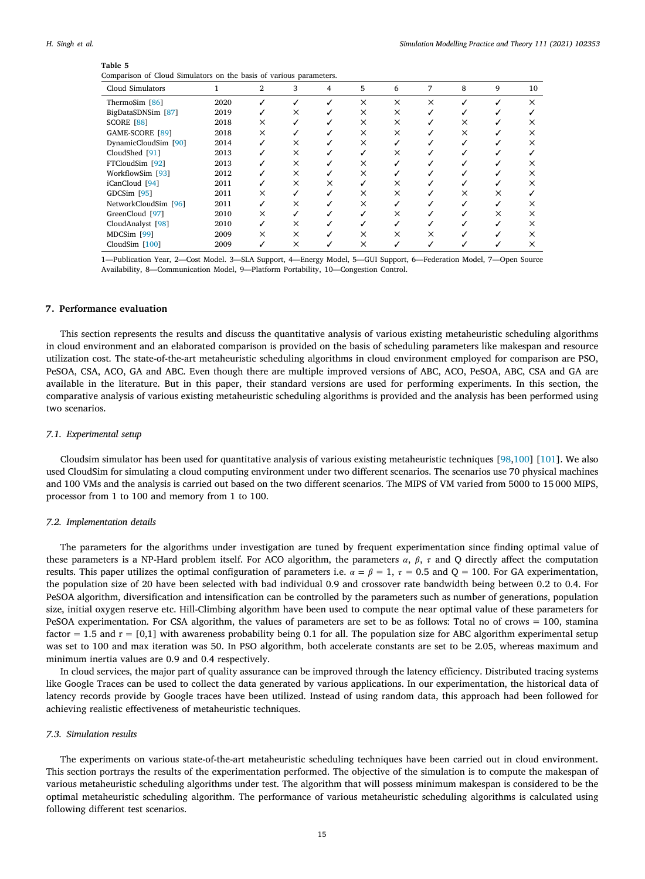<span id="page-14-1"></span>

| Comparison of Cloud Simulators on the basis of various parameters. |      |              |          |                |          |          |          |   |   |          |
|--------------------------------------------------------------------|------|--------------|----------|----------------|----------|----------|----------|---|---|----------|
| Cloud Simulators                                                   |      | $\mathbf{2}$ | 3        | $\overline{4}$ | 5        | 6        | 7        | 8 | 9 | 10       |
| ThermoSim [86]                                                     | 2020 |              |          |                | $\times$ | $\times$ | $\times$ |   |   | $\times$ |
| BigDataSDNSim [87]                                                 | 2019 |              | ×        |                | $\times$ | $\times$ |          |   |   |          |
| SCORE [88]                                                         | 2018 | $\times$     |          |                | $\times$ | ×        |          | × |   | x        |
| GAME-SCORE [89]                                                    | 2018 | ×            |          |                | ×        | ×        |          | × |   | $\times$ |
| DynamicCloudSim [90]                                               | 2014 |              | ×        |                | $\times$ |          |          |   |   | ×        |
| CloudShed [91]                                                     | 2013 |              | ×        |                | ✓        | ×        |          |   |   |          |
| FTCloudSim [92]                                                    | 2013 |              | $\times$ |                | $\times$ |          |          |   |   |          |
| WorkflowSim [93]                                                   | 2012 |              | $\times$ |                | $\times$ |          |          |   |   | ×        |
| iCanCloud [94]                                                     | 2011 |              | $\times$ | ×              |          | ×        |          |   |   | ×        |
| GDCSim <sup>[95]</sup>                                             | 2011 | ×            |          |                | ×        | ×        |          | × | × |          |
| NetworkCloudSim [96]                                               | 2011 |              | ×        |                | $\times$ |          |          |   |   | ×        |
| GreenCloud [97]                                                    | 2010 | ×            |          |                |          | ×        |          |   | × | ×        |
| CloudAnalyst [98]                                                  | 2010 |              | ×        |                |          |          |          |   |   | $\times$ |
| MDCSim <sup>[99]</sup>                                             | 2009 | ×            | ×        |                | ×        | $\times$ |          |   |   |          |
| CloudSim $[100]$                                                   | 2009 |              | ×        |                | ×        |          |          |   |   |          |

1—Publication Year, 2—Cost Model. 3—SLA Support, 4—Energy Model, 5—GUI Support, 6—Federation Model, 7—Open Source Availability, 8—Communication Model, 9—Platform Portability, 10—Congestion Control.

## **7. Performance evaluation**

<span id="page-14-0"></span>This section represents the results and discuss the quantitative analysis of various existing metaheuristic scheduling algorithms in cloud environment and an elaborated comparison is provided on the basis of scheduling parameters like makespan and resource utilization cost. The state-of-the-art metaheuristic scheduling algorithms in cloud environment employed for comparison are PSO, PeSOA, CSA, ACO, GA and ABC. Even though there are multiple improved versions of ABC, ACO, PeSOA, ABC, CSA and GA are available in the literature. But in this paper, their standard versions are used for performing experiments. In this section, the comparative analysis of various existing metaheuristic scheduling algorithms is provided and the analysis has been performed using two scenarios.

## *7.1. Experimental setup*

Cloudsim simulator has been used for quantitative analysis of various existing metaheuristic techniques [[98,](#page-22-10)[100\]](#page-22-12) [[101\]](#page-22-13). We also used CloudSim for simulating a cloud computing environment under two different scenarios. The scenarios use 70 physical machines and 100 VMs and the analysis is carried out based on the two different scenarios. The MIPS of VM varied from 5000 to 15 000 MIPS, processor from 1 to 100 and memory from 1 to 100.

#### *7.2. Implementation details*

The parameters for the algorithms under investigation are tuned by frequent experimentation since finding optimal value of these parameters is a NP-Hard problem itself. For ACO algorithm, the parameters  $\alpha$ ,  $\beta$ ,  $\tau$  and Q directly affect the computation results. This paper utilizes the optimal configuration of parameters i.e.  $\alpha = \beta = 1$ ,  $\tau = 0.5$  and Q = 100. For GA experimentation, the population size of 20 have been selected with bad individual 0.9 and crossover rate bandwidth being between 0.2 to 0.4. For PeSOA algorithm, diversification and intensification can be controlled by the parameters such as number of generations, population size, initial oxygen reserve etc. Hill-Climbing algorithm have been used to compute the near optimal value of these parameters for PeSOA experimentation. For CSA algorithm, the values of parameters are set to be as follows: Total no of crows = 100, stamina factor  $= 1.5$  and  $r = [0,1]$  with awareness probability being 0.1 for all. The population size for ABC algorithm experimental setup was set to 100 and max iteration was 50. In PSO algorithm, both accelerate constants are set to be 2.05, whereas maximum and minimum inertia values are 0.9 and 0.4 respectively.

In cloud services, the major part of quality assurance can be improved through the latency efficiency. Distributed tracing systems like Google Traces can be used to collect the data generated by various applications. In our experimentation, the historical data of latency records provide by Google traces have been utilized. Instead of using random data, this approach had been followed for achieving realistic effectiveness of metaheuristic techniques.

## *7.3. Simulation results*

The experiments on various state-of-the-art metaheuristic scheduling techniques have been carried out in cloud environment. This section portrays the results of the experimentation performed. The objective of the simulation is to compute the makespan of various metaheuristic scheduling algorithms under test. The algorithm that will possess minimum makespan is considered to be the optimal metaheuristic scheduling algorithm. The performance of various metaheuristic scheduling algorithms is calculated using following different test scenarios.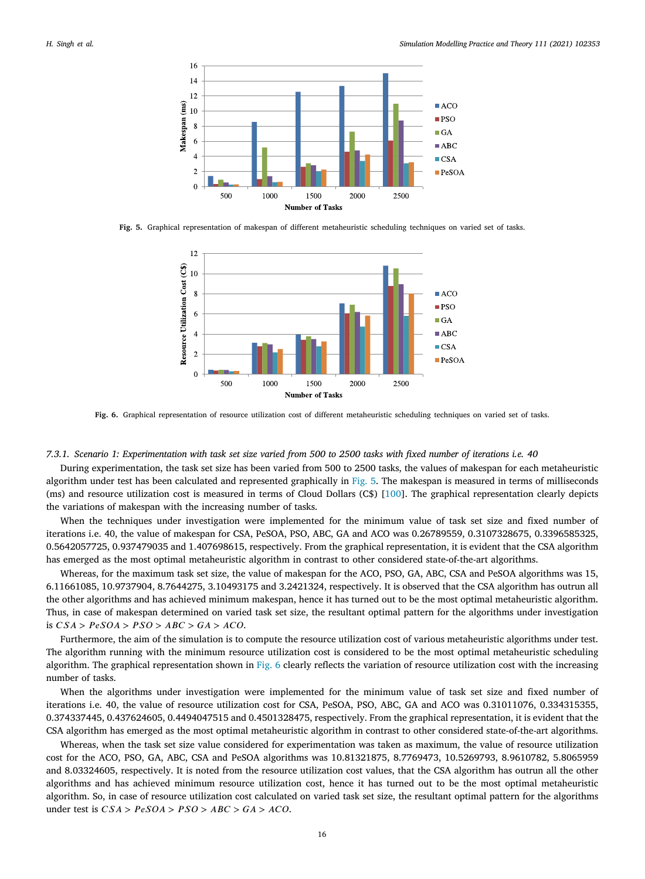

<span id="page-15-0"></span>**Fig. 5.** Graphical representation of makespan of different metaheuristic scheduling techniques on varied set of tasks.



**Fig. 6.** Graphical representation of resource utilization cost of different metaheuristic scheduling techniques on varied set of tasks.

# <span id="page-15-1"></span>*7.3.1. Scenario 1: Experimentation with task set size varied from 500 to 2500 tasks with fixed number of iterations i.e. 40*

During experimentation, the task set size has been varied from 500 to 2500 tasks, the values of makespan for each metaheuristic algorithm under test has been calculated and represented graphically in [Fig.](#page-15-0) [5](#page-15-0). The makespan is measured in terms of milliseconds (ms) and resource utilization cost is measured in terms of Cloud Dollars (C\$) [[100\]](#page-22-12). The graphical representation clearly depicts the variations of makespan with the increasing number of tasks.

When the techniques under investigation were implemented for the minimum value of task set size and fixed number of iterations i.e. 40, the value of makespan for CSA, PeSOA, PSO, ABC, GA and ACO was 0.26789559, 0.3107328675, 0.3396585325, 0.5642057725, 0.937479035 and 1.407698615, respectively. From the graphical representation, it is evident that the CSA algorithm has emerged as the most optimal metaheuristic algorithm in contrast to other considered state-of-the-art algorithms.

Whereas, for the maximum task set size, the value of makespan for the ACO, PSO, GA, ABC, CSA and PeSOA algorithms was 15, 6.11661085, 10.9737904, 8.7644275, 3.10493175 and 3.2421324, respectively. It is observed that the CSA algorithm has outrun all the other algorithms and has achieved minimum makespan, hence it has turned out to be the most optimal metaheuristic algorithm. Thus, in case of makespan determined on varied task set size, the resultant optimal pattern for the algorithms under investigation is  $CSA > PeSOA > PSO > ABC > GA > ACO$ .

Furthermore, the aim of the simulation is to compute the resource utilization cost of various metaheuristic algorithms under test. The algorithm running with the minimum resource utilization cost is considered to be the most optimal metaheuristic scheduling algorithm. The graphical representation shown in [Fig.](#page-15-1) [6](#page-15-1) clearly reflects the variation of resource utilization cost with the increasing number of tasks.

When the algorithms under investigation were implemented for the minimum value of task set size and fixed number of iterations i.e. 40, the value of resource utilization cost for CSA, PeSOA, PSO, ABC, GA and ACO was 0.31011076, 0.334315355, 0.374337445, 0.437624605, 0.4494047515 and 0.4501328475, respectively. From the graphical representation, it is evident that the CSA algorithm has emerged as the most optimal metaheuristic algorithm in contrast to other considered state-of-the-art algorithms.

Whereas, when the task set size value considered for experimentation was taken as maximum, the value of resource utilization cost for the ACO, PSO, GA, ABC, CSA and PeSOA algorithms was 10.81321875, 8.7769473, 10.5269793, 8.9610782, 5.8065959 and 8.03324605, respectively. It is noted from the resource utilization cost values, that the CSA algorithm has outrun all the other algorithms and has achieved minimum resource utilization cost, hence it has turned out to be the most optimal metaheuristic algorithm. So, in case of resource utilization cost calculated on varied task set size, the resultant optimal pattern for the algorithms under test is  $CSA > PeSOA > PSO > ABC > GA > ACO$ .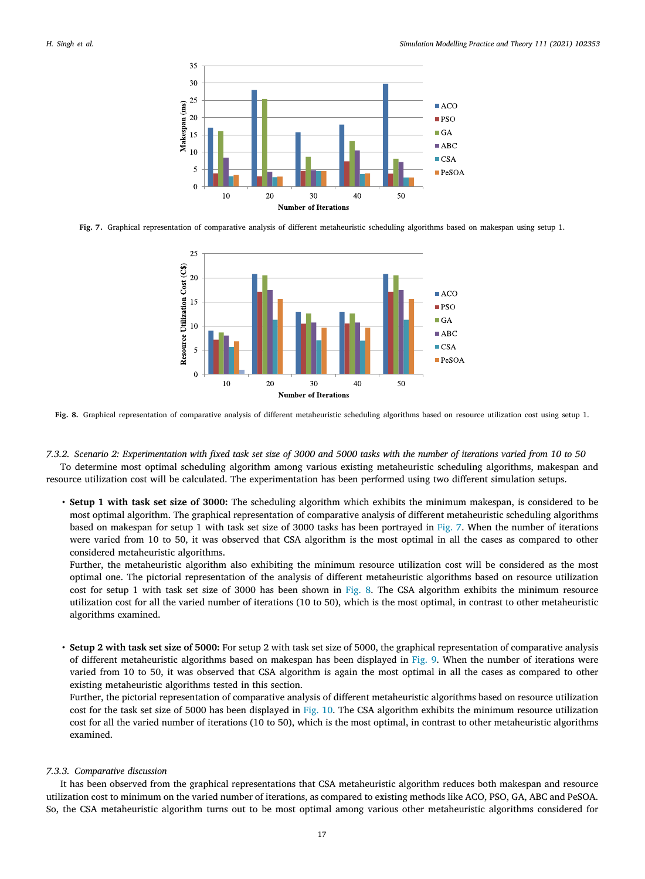

<span id="page-16-0"></span>**Fig. 7.** Graphical representation of comparative analysis of different metaheuristic scheduling algorithms based on makespan using setup 1.



<span id="page-16-1"></span>**Fig. 8.** Graphical representation of comparative analysis of different metaheuristic scheduling algorithms based on resource utilization cost using setup 1.

*7.3.2. Scenario 2: Experimentation with fixed task set size of 3000 and 5000 tasks with the number of iterations varied from 10 to 50* To determine most optimal scheduling algorithm among various existing metaheuristic scheduling algorithms, makespan and resource utilization cost will be calculated. The experimentation has been performed using two different simulation setups.

• **Setup 1 with task set size of 3000:** The scheduling algorithm which exhibits the minimum makespan, is considered to be most optimal algorithm. The graphical representation of comparative analysis of different metaheuristic scheduling algorithms based on makespan for setup 1 with task set size of 3000 tasks has been portrayed in [Fig.](#page-16-0) [7.](#page-16-0) When the number of iterations were varied from 10 to 50, it was observed that CSA algorithm is the most optimal in all the cases as compared to other considered metaheuristic algorithms.

Further, the metaheuristic algorithm also exhibiting the minimum resource utilization cost will be considered as the most optimal one. The pictorial representation of the analysis of different metaheuristic algorithms based on resource utilization cost for setup 1 with task set size of 3000 has been shown in [Fig.](#page-16-1) [8.](#page-16-1) The CSA algorithm exhibits the minimum resource utilization cost for all the varied number of iterations (10 to 50), which is the most optimal, in contrast to other metaheuristic algorithms examined.

• **Setup 2 with task set size of 5000:** For setup 2 with task set size of 5000, the graphical representation of comparative analysis of different metaheuristic algorithms based on makespan has been displayed in [Fig.](#page-17-1) [9.](#page-17-1) When the number of iterations were varied from 10 to 50, it was observed that CSA algorithm is again the most optimal in all the cases as compared to other existing metaheuristic algorithms tested in this section.

Further, the pictorial representation of comparative analysis of different metaheuristic algorithms based on resource utilization cost for the task set size of 5000 has been displayed in [Fig.](#page-17-2) [10.](#page-17-2) The CSA algorithm exhibits the minimum resource utilization cost for all the varied number of iterations (10 to 50), which is the most optimal, in contrast to other metaheuristic algorithms examined.

# *7.3.3. Comparative discussion*

It has been observed from the graphical representations that CSA metaheuristic algorithm reduces both makespan and resource utilization cost to minimum on the varied number of iterations, as compared to existing methods like ACO, PSO, GA, ABC and PeSOA. So, the CSA metaheuristic algorithm turns out to be most optimal among various other metaheuristic algorithms considered for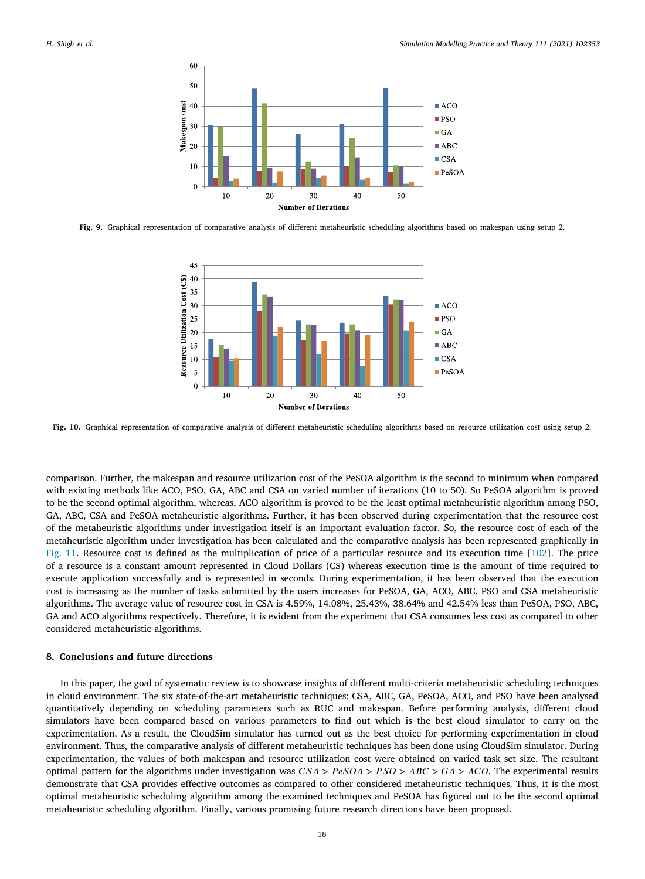

<span id="page-17-1"></span>**Fig. 9.** Graphical representation of comparative analysis of different metaheuristic scheduling algorithms based on makespan using setup 2.



<span id="page-17-2"></span>**Fig. 10.** Graphical representation of comparative analysis of different metaheuristic scheduling algorithms based on resource utilization cost using setup 2.

comparison. Further, the makespan and resource utilization cost of the PeSOA algorithm is the second to minimum when compared with existing methods like ACO, PSO, GA, ABC and CSA on varied number of iterations (10 to 50). So PeSOA algorithm is proved to be the second optimal algorithm, whereas, ACO algorithm is proved to be the least optimal metaheuristic algorithm among PSO, GA, ABC, CSA and PeSOA metaheuristic algorithms. Further, it has been observed during experimentation that the resource cost of the metaheuristic algorithms under investigation itself is an important evaluation factor. So, the resource cost of each of the metaheuristic algorithm under investigation has been calculated and the comparative analysis has been represented graphically in [Fig.](#page-18-0) [11.](#page-18-0) Resource cost is defined as the multiplication of price of a particular resource and its execution time [[102\]](#page-22-14). The price of a resource is a constant amount represented in Cloud Dollars (C\$) whereas execution time is the amount of time required to execute application successfully and is represented in seconds. During experimentation, it has been observed that the execution cost is increasing as the number of tasks submitted by the users increases for PeSOA, GA, ACO, ABC, PSO and CSA metaheuristic algorithms. The average value of resource cost in CSA is 4.59%, 14.08%, 25.43%, 38.64% and 42.54% less than PeSOA, PSO, ABC, GA and ACO algorithms respectively. Therefore, it is evident from the experiment that CSA consumes less cost as compared to other considered metaheuristic algorithms.

## **8. Conclusions and future directions**

<span id="page-17-0"></span>In this paper, the goal of systematic review is to showcase insights of different multi-criteria metaheuristic scheduling techniques in cloud environment. The six state-of-the-art metaheuristic techniques: CSA, ABC, GA, PeSOA, ACO, and PSO have been analysed quantitatively depending on scheduling parameters such as RUC and makespan. Before performing analysis, different cloud simulators have been compared based on various parameters to find out which is the best cloud simulator to carry on the experimentation. As a result, the CloudSim simulator has turned out as the best choice for performing experimentation in cloud environment. Thus, the comparative analysis of different metaheuristic techniques has been done using CloudSim simulator. During experimentation, the values of both makespan and resource utilization cost were obtained on varied task set size. The resultant optimal pattern for the algorithms under investigation was  $CSA > PesOA > PSO > ABC > GA > ACO$ . The experimental results demonstrate that CSA provides effective outcomes as compared to other considered metaheuristic techniques. Thus, it is the most optimal metaheuristic scheduling algorithm among the examined techniques and PeSOA has figured out to be the second optimal metaheuristic scheduling algorithm. Finally, various promising future research directions have been proposed.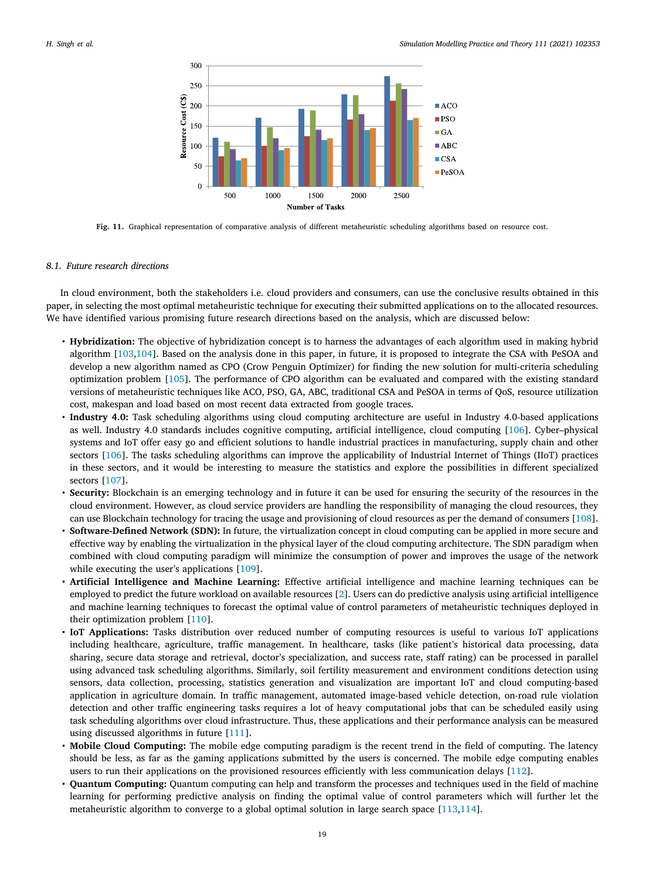

**Fig. 11.** Graphical representation of comparative analysis of different metaheuristic scheduling algorithms based on resource cost.

### <span id="page-18-0"></span>*8.1. Future research directions*

In cloud environment, both the stakeholders i.e. cloud providers and consumers, can use the conclusive results obtained in this paper, in selecting the most optimal metaheuristic technique for executing their submitted applications on to the allocated resources. We have identified various promising future research directions based on the analysis, which are discussed below:

- **Hybridization:** The objective of hybridization concept is to harness the advantages of each algorithm used in making hybrid algorithm [\[103,](#page-22-15)[104\]](#page-22-16). Based on the analysis done in this paper, in future, it is proposed to integrate the CSA with PeSOA and develop a new algorithm named as CPO (Crow Penguin Optimizer) for finding the new solution for multi-criteria scheduling optimization problem [\[105\]](#page-22-17). The performance of CPO algorithm can be evaluated and compared with the existing standard versions of metaheuristic techniques like ACO, PSO, GA, ABC, traditional CSA and PeSOA in terms of QoS, resource utilization cost, makespan and load based on most recent data extracted from google traces.
- **Industry 4.0:** Task scheduling algorithms using cloud computing architecture are useful in Industry 4.0-based applications as well. Industry 4.0 standards includes cognitive computing, artificial intelligence, cloud computing [\[106\]](#page-22-18). Cyber–physical systems and IoT offer easy go and efficient solutions to handle industrial practices in manufacturing, supply chain and other sectors [\[106\]](#page-22-18). The tasks scheduling algorithms can improve the applicability of Industrial Internet of Things (IIoT) practices in these sectors, and it would be interesting to measure the statistics and explore the possibilities in different specialized sectors [\[107\]](#page-22-19).
- **Security:** Blockchain is an emerging technology and in future it can be used for ensuring the security of the resources in the cloud environment. However, as cloud service providers are handling the responsibility of managing the cloud resources, they can use Blockchain technology for tracing the usage and provisioning of cloud resources as per the demand of consumers [[108\]](#page-22-20).
- **Software-Defined Network (SDN):** In future, the virtualization concept in cloud computing can be applied in more secure and effective way by enabling the virtualization in the physical layer of the cloud computing architecture. The SDN paradigm when combined with cloud computing paradigm will minimize the consumption of power and improves the usage of the network while executing the user's applications [[109](#page-22-21)].
- **Artificial Intelligence and Machine Learning:** Effective artificial intelligence and machine learning techniques can be employed to predict the future workload on available resources [[2\]](#page-19-1). Users can do predictive analysis using artificial intelligence and machine learning techniques to forecast the optimal value of control parameters of metaheuristic techniques deployed in their optimization problem [\[110\]](#page-22-22).
- **IoT Applications:** Tasks distribution over reduced number of computing resources is useful to various IoT applications including healthcare, agriculture, traffic management. In healthcare, tasks (like patient's historical data processing, data sharing, secure data storage and retrieval, doctor's specialization, and success rate, staff rating) can be processed in parallel using advanced task scheduling algorithms. Similarly, soil fertility measurement and environment conditions detection using sensors, data collection, processing, statistics generation and visualization are important IoT and cloud computing-based application in agriculture domain. In traffic management, automated image-based vehicle detection, on-road rule violation detection and other traffic engineering tasks requires a lot of heavy computational jobs that can be scheduled easily using task scheduling algorithms over cloud infrastructure. Thus, these applications and their performance analysis can be measured using discussed algorithms in future [[111\]](#page-22-23).
- **Mobile Cloud Computing:** The mobile edge computing paradigm is the recent trend in the field of computing. The latency should be less, as far as the gaming applications submitted by the users is concerned. The mobile edge computing enables users to run their applications on the provisioned resources efficiently with less communication delays [[112\]](#page-22-24).
- **Quantum Computing:** Quantum computing can help and transform the processes and techniques used in the field of machine learning for performing predictive analysis on finding the optimal value of control parameters which will further let the metaheuristic algorithm to converge to a global optimal solution in large search space [[113,](#page-22-25)[114\]](#page-22-26).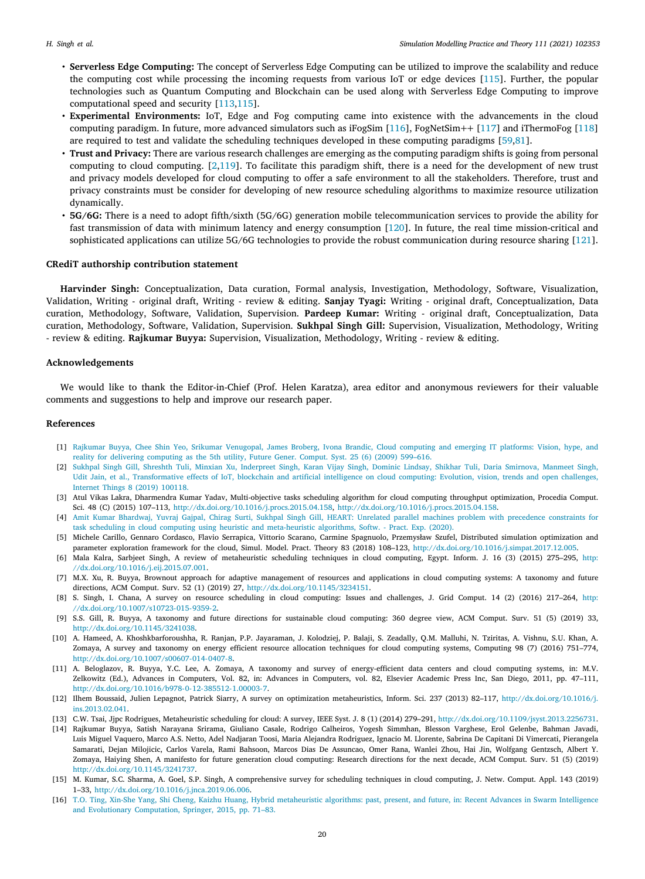- **Serverless Edge Computing:** The concept of Serverless Edge Computing can be utilized to improve the scalability and reduce the computing cost while processing the incoming requests from various IoT or edge devices [\[115\]](#page-22-27). Further, the popular technologies such as Quantum Computing and Blockchain can be used along with Serverless Edge Computing to improve computational speed and security [[113](#page-22-25)[,115\]](#page-22-27).
- **Experimental Environments:** IoT, Edge and Fog computing came into existence with the advancements in the cloud computing paradigm. In future, more advanced simulators such as iFogSim [[116](#page-22-28)], FogNetSim++ [[117\]](#page-22-29) and iThermoFog [\[118\]](#page-22-30) are required to test and validate the scheduling techniques developed in these computing paradigms [[59,](#page-21-6)[81\]](#page-21-28).
- **Trust and Privacy:** There are various research challenges are emerging as the computing paradigm shifts is going from personal computing to cloud computing. [[2](#page-19-1),[119\]](#page-22-31). To facilitate this paradigm shift, there is a need for the development of new trust and privacy models developed for cloud computing to offer a safe environment to all the stakeholders. Therefore, trust and privacy constraints must be consider for developing of new resource scheduling algorithms to maximize resource utilization dynamically.
- **5G/6G:** There is a need to adopt fifth/sixth (5G/6G) generation mobile telecommunication services to provide the ability for fast transmission of data with minimum latency and energy consumption [[120\]](#page-22-32). In future, the real time mission-critical and sophisticated applications can utilize 5G/6G technologies to provide the robust communication during resource sharing [[121\]](#page-22-33).

## **CRediT authorship contribution statement**

**Harvinder Singh:** Conceptualization, Data curation, Formal analysis, Investigation, Methodology, Software, Visualization, Validation, Writing - original draft, Writing - review & editing. **Sanjay Tyagi:** Writing - original draft, Conceptualization, Data curation, Methodology, Software, Validation, Supervision. **Pardeep Kumar:** Writing - original draft, Conceptualization, Data curation, Methodology, Software, Validation, Supervision. **Sukhpal Singh Gill:** Supervision, Visualization, Methodology, Writing - review & editing. **Rajkumar Buyya:** Supervision, Visualization, Methodology, Writing - review & editing.

## **Acknowledgements**

We would like to thank the Editor-in-Chief (Prof. Helen Karatza), area editor and anonymous reviewers for their valuable comments and suggestions to help and improve our research paper.

#### **References**

- <span id="page-19-0"></span>[1] [Rajkumar Buyya, Chee Shin Yeo, Srikumar Venugopal, James Broberg, Ivona Brandic, Cloud computing and emerging IT platforms: Vision, hype, and](http://refhub.elsevier.com/S1569-190X(21)00067-8/sb1) [reality for delivering computing as the 5th utility, Future Gener. Comput. Syst. 25 \(6\) \(2009\) 599–616.](http://refhub.elsevier.com/S1569-190X(21)00067-8/sb1)
- <span id="page-19-1"></span>[2] [Sukhpal Singh Gill, Shreshth Tuli, Minxian Xu, Inderpreet Singh, Karan Vijay Singh, Dominic Lindsay, Shikhar Tuli, Daria Smirnova, Manmeet Singh,](http://refhub.elsevier.com/S1569-190X(21)00067-8/sb2) [Udit Jain, et al., Transformative effects of IoT, blockchain and artificial intelligence on cloud computing: Evolution, vision, trends and open challenges,](http://refhub.elsevier.com/S1569-190X(21)00067-8/sb2) [Internet Things 8 \(2019\) 100118.](http://refhub.elsevier.com/S1569-190X(21)00067-8/sb2)
- <span id="page-19-2"></span>[3] Atul Vikas Lakra, Dharmendra Kumar Yadav, Multi-objective tasks scheduling algorithm for cloud computing throughput optimization, Procedia Comput. Sci. 48 (C) (2015) 107–113, [http://dx.doi.org/10.1016/j.procs.2015.04.158,](http://dx.doi.org/10.1016/j.procs.2015.04.158) <http://dx.doi.org/10.1016/j.procs.2015.04.158>.
- <span id="page-19-3"></span>[4] [Amit Kumar Bhardwaj, Yuvraj Gajpal, Chirag Surti, Sukhpal Singh Gill, HEART: Unrelated parallel machines problem with precedence constraints for](http://refhub.elsevier.com/S1569-190X(21)00067-8/sb4) [task scheduling in cloud computing using heuristic and meta-heuristic algorithms, Softw. - Pract. Exp. \(2020\).](http://refhub.elsevier.com/S1569-190X(21)00067-8/sb4)
- <span id="page-19-4"></span>[5] Michele Carillo, Gennaro Cordasco, Flavio Serrapica, Vittorio Scarano, Carmine Spagnuolo, Przemysław Szufel, Distributed simulation optimization and parameter exploration framework for the cloud, Simul. Model. Pract. Theory 83 (2018) 108–123, [http://dx.doi.org/10.1016/j.simpat.2017.12.005.](http://dx.doi.org/10.1016/j.simpat.2017.12.005)
- <span id="page-19-5"></span>[6] Mala Kalra, Sarbjeet Singh, A review of metaheuristic scheduling techniques in cloud computing, Egypt. Inform. J. 16 (3) (2015) 275–295, [http:](http://dx.doi.org/10.1016/j.eij.2015.07.001) [//dx.doi.org/10.1016/j.eij.2015.07.001](http://dx.doi.org/10.1016/j.eij.2015.07.001).
- <span id="page-19-6"></span>[7] M.X. Xu, R. Buyya, Brownout approach for adaptive management of resources and applications in cloud computing systems: A taxonomy and future directions, ACM Comput. Surv. 52 (1) (2019) 27, [http://dx.doi.org/10.1145/3234151.](http://dx.doi.org/10.1145/3234151)
- <span id="page-19-7"></span>[8] S. Singh, I. Chana, A survey on resource scheduling in cloud computing: Issues and challenges, J. Grid Comput. 14 (2) (2016) 217–264, [http:](http://dx.doi.org/10.1007/s10723-015-9359-2) [//dx.doi.org/10.1007/s10723-015-9359-2.](http://dx.doi.org/10.1007/s10723-015-9359-2)
- <span id="page-19-8"></span>[9] S.S. Gill, R. Buyya, A taxonomy and future directions for sustainable cloud computing: 360 degree view, ACM Comput. Surv. 51 (5) (2019) 33, [http://dx.doi.org/10.1145/3241038.](http://dx.doi.org/10.1145/3241038)
- <span id="page-19-9"></span>[10] A. Hameed, A. Khoshkbarforoushha, R. Ranjan, P.P. Jayaraman, J. Kolodziej, P. Balaji, S. Zeadally, Q.M. Malluhi, N. Tziritas, A. Vishnu, S.U. Khan, A. Zomaya, A survey and taxonomy on energy efficient resource allocation techniques for cloud computing systems, Computing 98 (7) (2016) 751–774, <http://dx.doi.org/10.1007/s00607-014-0407-8>.
- <span id="page-19-15"></span>[11] A. Beloglazov, R. Buyya, Y.C. Lee, A. Zomaya, A taxonomy and survey of energy-efficient data centers and cloud computing systems, in: M.V. Zelkowitz (Ed.), Advances in Computers, Vol. 82, in: Advances in Computers, vol. 82, Elsevier Academic Press Inc, San Diego, 2011, pp. 47–111, [http://dx.doi.org/10.1016/b978-0-12-385512-1.00003-7.](http://dx.doi.org/10.1016/b978-0-12-385512-1.00003-7)
- <span id="page-19-10"></span>[12] Ilhem Boussaid, Julien Lepagnot, Patrick Siarry, A survey on optimization metaheuristics, Inform. Sci. 237 (2013) 82–117, [http://dx.doi.org/10.1016/j.](http://dx.doi.org/10.1016/j.ins.2013.02.041) [ins.2013.02.041](http://dx.doi.org/10.1016/j.ins.2013.02.041).
- <span id="page-19-11"></span>[13] C.W. Tsai, Jjpc Rodrigues, Metaheuristic scheduling for cloud: A survey, IEEE Syst. J. 8 (1) (2014) 279–291, <http://dx.doi.org/10.1109/jsyst.2013.2256731>.
- <span id="page-19-12"></span>[14] Rajkumar Buyya, Satish Narayana Srirama, Giuliano Casale, Rodrigo Calheiros, Yogesh Simmhan, Blesson Varghese, Erol Gelenbe, Bahman Javadi, Luis Miguel Vaquero, Marco A.S. Netto, Adel Nadjaran Toosi, Maria Alejandra Rodriguez, Ignacio M. Llorente, Sabrina De Capitani Di Vimercati, Pierangela Samarati, Dejan Milojicic, Carlos Varela, Rami Bahsoon, Marcos Dias De Assuncao, Omer Rana, Wanlei Zhou, Hai Jin, Wolfgang Gentzsch, Albert Y. Zomaya, Haiying Shen, A manifesto for future generation cloud computing: Research directions for the next decade, ACM Comput. Surv. 51 (5) (2019) [http://dx.doi.org/10.1145/3241737.](http://dx.doi.org/10.1145/3241737)
- <span id="page-19-13"></span>[15] M. Kumar, S.C. Sharma, A. Goel, S.P. Singh, A comprehensive survey for scheduling techniques in cloud computing, J. Netw. Comput. Appl. 143 (2019) 1–33, [http://dx.doi.org/10.1016/j.jnca.2019.06.006.](http://dx.doi.org/10.1016/j.jnca.2019.06.006)
- <span id="page-19-14"></span>[16] [T.O. Ting, Xin-She Yang, Shi Cheng, Kaizhu Huang, Hybrid metaheuristic algorithms: past, present, and future, in: Recent Advances in Swarm Intelligence](http://refhub.elsevier.com/S1569-190X(21)00067-8/sb16) [and Evolutionary Computation, Springer, 2015, pp. 71–83.](http://refhub.elsevier.com/S1569-190X(21)00067-8/sb16)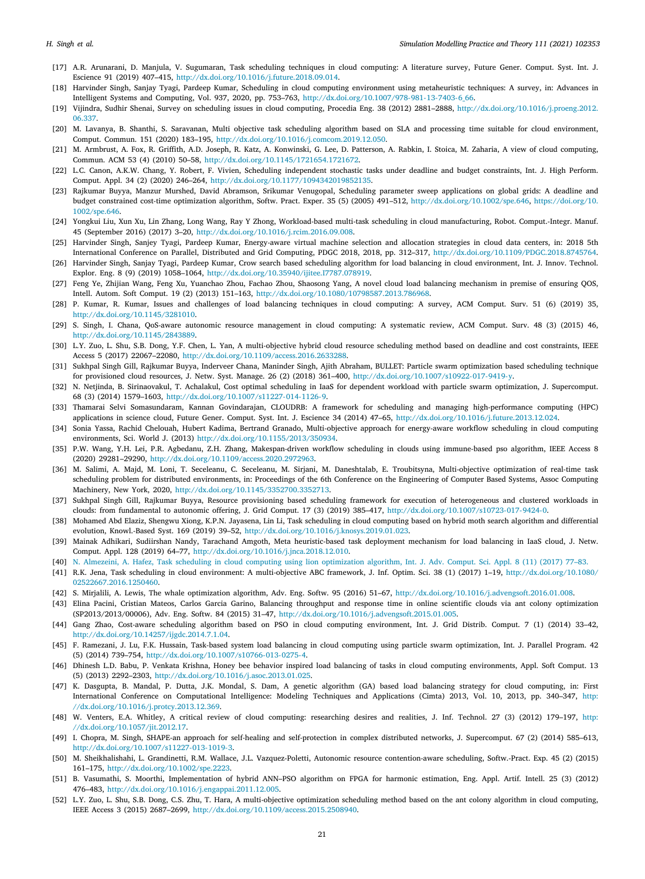- <span id="page-20-0"></span>[17] A.R. Arunarani, D. Manjula, V. Sugumaran, Task scheduling techniques in cloud computing: A literature survey, Future Gener. Comput. Syst. Int. J. Escience 91 (2019) 407–415, <http://dx.doi.org/10.1016/j.future.2018.09.014>.
- <span id="page-20-1"></span>[18] Harvinder Singh, Sanjay Tyagi, Pardeep Kumar, Scheduling in cloud computing environment using metaheuristic techniques: A survey, in: Advances in Intelligent Systems and Computing, Vol. 937, 2020, pp. 753–763, [http://dx.doi.org/10.1007/978-981-13-7403-6\\_66.](http://dx.doi.org/10.1007/978-981-13-7403-6_66)
- <span id="page-20-2"></span>[19] Vijindra, Sudhir Shenai, Survey on scheduling issues in cloud computing, Procedia Eng. 38 (2012) 2881–2888, [http://dx.doi.org/10.1016/j.proeng.2012.](http://dx.doi.org/10.1016/j.proeng.2012.06.337) [06.337](http://dx.doi.org/10.1016/j.proeng.2012.06.337).
- <span id="page-20-3"></span>[20] M. Lavanya, B. Shanthi, S. Saravanan, Multi objective task scheduling algorithm based on SLA and processing time suitable for cloud environment, Comput. Commun. 151 (2020) 183–195, [http://dx.doi.org/10.1016/j.comcom.2019.12.050.](http://dx.doi.org/10.1016/j.comcom.2019.12.050)
- <span id="page-20-4"></span>[21] M. Armbrust, A. Fox, R. Griffith, A.D. Joseph, R. Katz, A. Konwinski, G. Lee, D. Patterson, A. Rabkin, I. Stoica, M. Zaharia, A view of cloud computing, Commun. ACM 53 (4) (2010) 50–58, [http://dx.doi.org/10.1145/1721654.1721672.](http://dx.doi.org/10.1145/1721654.1721672)
- <span id="page-20-5"></span>[22] L.C. Canon, A.K.W. Chang, Y. Robert, F. Vivien, Scheduling independent stochastic tasks under deadline and budget constraints, Int. J. High Perform. Comput. Appl. 34 (2) (2020) 246–264, <http://dx.doi.org/10.1177/1094342019852135>.
- <span id="page-20-6"></span>[23] Rajkumar Buyya, Manzur Murshed, David Abramson, Srikumar Venugopal, Scheduling parameter sweep applications on global grids: A deadline and budget constrained cost-time optimization algorithm, Softw. Pract. Exper. 35 (5) (2005) 491–512, [http://dx.doi.org/10.1002/spe.646,](http://dx.doi.org/10.1002/spe.646) [https://doi.org/10.](https://doi.org/10.1002/spe.646) [1002/spe.646.](https://doi.org/10.1002/spe.646)
- <span id="page-20-7"></span>[24] Yongkui Liu, Xun Xu, Lin Zhang, Long Wang, Ray Y Zhong, Workload-based multi-task scheduling in cloud manufacturing, Robot. Comput.-Integr. Manuf. 45 (September 2016) (2017) 3–20, [http://dx.doi.org/10.1016/j.rcim.2016.09.008.](http://dx.doi.org/10.1016/j.rcim.2016.09.008)
- <span id="page-20-8"></span>[25] Harvinder Singh, Sanjey Tyagi, Pardeep Kumar, Energy-aware virtual machine selection and allocation strategies in cloud data centers, in: 2018 5th International Conference on Parallel, Distributed and Grid Computing, PDGC 2018, 2018, pp. 312–317, <http://dx.doi.org/10.1109/PDGC.2018.8745764>.
- <span id="page-20-9"></span>[26] Harvinder Singh, Sanjay Tyagi, Pardeep Kumar, Crow search based scheduling algorithm for load balancing in cloud environment, Int. J. Innov. Technol. Explor. Eng. 8 (9) (2019) 1058–1064, <http://dx.doi.org/10.35940/ijitee.I7787.078919>.
- <span id="page-20-10"></span>[27] Feng Ye, Zhijian Wang, Feng Xu, Yuanchao Zhou, Fachao Zhou, Shaosong Yang, A novel cloud load balancing mechanism in premise of ensuring QOS, Intell. Autom. Soft Comput. 19 (2) (2013) 151–163, [http://dx.doi.org/10.1080/10798587.2013.786968.](http://dx.doi.org/10.1080/10798587.2013.786968)
- <span id="page-20-11"></span>[28] P. Kumar, R. Kumar, Issues and challenges of load balancing techniques in cloud computing: A survey, ACM Comput. Surv. 51 (6) (2019) 35, [http://dx.doi.org/10.1145/3281010.](http://dx.doi.org/10.1145/3281010)
- <span id="page-20-12"></span>[29] S. Singh, I. Chana, QoS-aware autonomic resource management in cloud computing: A systematic review, ACM Comput. Surv. 48 (3) (2015) 46, [http://dx.doi.org/10.1145/2843889.](http://dx.doi.org/10.1145/2843889)
- <span id="page-20-13"></span>[30] L.Y. Zuo, L. Shu, S.B. Dong, Y.F. Chen, L. Yan, A multi-objective hybrid cloud resource scheduling method based on deadline and cost constraints, IEEE Access 5 (2017) 22067–22080, [http://dx.doi.org/10.1109/access.2016.2633288.](http://dx.doi.org/10.1109/access.2016.2633288)
- <span id="page-20-14"></span>[31] Sukhpal Singh Gill, Rajkumar Buyya, Inderveer Chana, Maninder Singh, Ajith Abraham, BULLET: Particle swarm optimization based scheduling technique for provisioned cloud resources, J. Netw. Syst. Manage. 26 (2) (2018) 361–400, [http://dx.doi.org/10.1007/s10922-017-9419-y.](http://dx.doi.org/10.1007/s10922-017-9419-y)
- <span id="page-20-15"></span>[32] N. Netjinda, B. Sirinaovakul, T. Achalakul, Cost optimal scheduling in IaaS for dependent workload with particle swarm optimization, J. Supercomput. 68 (3) (2014) 1579–1603, <http://dx.doi.org/10.1007/s11227-014-1126-9>.
- [33] Thamarai Selvi Somasundaram, Kannan Govindarajan, CLOUDRB: A framework for scheduling and managing high-performance computing (HPC) applications in science cloud, Future Gener. Comput. Syst. Int. J. Escience 34 (2014) 47–65, [http://dx.doi.org/10.1016/j.future.2013.12.024.](http://dx.doi.org/10.1016/j.future.2013.12.024)
- <span id="page-20-16"></span>[34] Sonia Yassa, Rachid Chelouah, Hubert Kadima, Bertrand Granado, Multi-objective approach for energy-aware workflow scheduling in cloud computing environments, Sci. World J. (2013) <http://dx.doi.org/10.1155/2013/350934>.
- <span id="page-20-17"></span>[35] P.W. Wang, Y.H. Lei, P.R. Agbedanu, Z.H. Zhang, Makespan-driven workflow scheduling in clouds using immune-based pso algorithm, IEEE Access 8 (2020) 29281–29290, <http://dx.doi.org/10.1109/access.2020.2972963>.
- <span id="page-20-18"></span>[36] M. Salimi, A. Majd, M. Loni, T. Seceleanu, C. Seceleanu, M. Sirjani, M. Daneshtalab, E. Troubitsyna, Multi-objective optimization of real-time task scheduling problem for distributed environments, in: Proceedings of the 6th Conference on the Engineering of Computer Based Systems, Assoc Computing Machinery, New York, 2020, [http://dx.doi.org/10.1145/3352700.3352713.](http://dx.doi.org/10.1145/3352700.3352713)
- <span id="page-20-19"></span>[37] Sukhpal Singh Gill, Rajkumar Buyya, Resource provisioning based scheduling framework for execution of heterogeneous and clustered workloads in clouds: from fundamental to autonomic offering, J. Grid Comput. 17 (3) (2019) 385–417, [http://dx.doi.org/10.1007/s10723-017-9424-0.](http://dx.doi.org/10.1007/s10723-017-9424-0)
- <span id="page-20-20"></span>[38] Mohamed Abd Elaziz, Shengwu Xiong, K.P.N. Jayasena, Lin Li, Task scheduling in cloud computing based on hybrid moth search algorithm and differential evolution, Knowl.-Based Syst. 169 (2019) 39–52, [http://dx.doi.org/10.1016/j.knosys.2019.01.023.](http://dx.doi.org/10.1016/j.knosys.2019.01.023)
- <span id="page-20-21"></span>[39] Mainak Adhikari, Sudiirshan Nandy, Tarachand Amgoth, Meta heuristic-based task deployment mechanism for load balancing in IaaS cloud, J. Netw. Comput. Appl. 128 (2019) 64–77, [http://dx.doi.org/10.1016/j.jnca.2018.12.010.](http://dx.doi.org/10.1016/j.jnca.2018.12.010)
- <span id="page-20-22"></span>[40] [N. Almezeini, A. Hafez, Task scheduling in cloud computing using lion optimization algorithm, Int. J. Adv. Comput. Sci. Appl. 8 \(11\) \(2017\) 77–83.](http://refhub.elsevier.com/S1569-190X(21)00067-8/sb40)
- <span id="page-20-23"></span>[41] R.K. Jena, Task scheduling in cloud environment: A multi-objective ABC framework, J. Inf. Optim. Sci. 38 (1) (2017) 1–19, [http://dx.doi.org/10.1080/](http://dx.doi.org/10.1080/02522667.2016.1250460) [02522667.2016.1250460](http://dx.doi.org/10.1080/02522667.2016.1250460).
- <span id="page-20-24"></span>[42] S. Mirjalili, A. Lewis, The whale optimization algorithm, Adv. Eng. Softw. 95 (2016) 51–67, [http://dx.doi.org/10.1016/j.advengsoft.2016.01.008.](http://dx.doi.org/10.1016/j.advengsoft.2016.01.008)
- <span id="page-20-25"></span>[43] Elina Pacini, Cristian Mateos, Carlos Garcia Garino, Balancing throughput and response time in online scientific clouds via ant colony optimization (SP2013/2013/00006), Adv. Eng. Softw. 84 (2015) 31–47, <http://dx.doi.org/10.1016/j.advengsoft.2015.01.005>.
- <span id="page-20-26"></span>[44] Gang Zhao, Cost-aware scheduling algorithm based on PSO in cloud computing environment, Int. J. Grid Distrib. Comput. 7 (1) (2014) 33–42, [http://dx.doi.org/10.14257/ijgdc.2014.7.1.04.](http://dx.doi.org/10.14257/ijgdc.2014.7.1.04)
- <span id="page-20-27"></span>[45] F. Ramezani, J. Lu, F.K. Hussain, Task-based system load balancing in cloud computing using particle swarm optimization, Int. J. Parallel Program. 42 (5) (2014) 739–754, <http://dx.doi.org/10.1007/s10766-013-0275-4>.
- <span id="page-20-28"></span>[46] Dhinesh L.D. Babu, P. Venkata Krishna, Honey bee behavior inspired load balancing of tasks in cloud computing environments, Appl. Soft Comput. 13 (5) (2013) 2292–2303, <http://dx.doi.org/10.1016/j.asoc.2013.01.025>.
- <span id="page-20-29"></span>[47] K. Dasgupta, B. Mandal, P. Dutta, J.K. Mondal, S. Dam, A genetic algorithm (GA) based load balancing strategy for cloud computing, in: First International Conference on Computational Intelligence: Modeling Techniques and Applications (Cimta) 2013, Vol. 10, 2013, pp. 340–347, [http:](http://dx.doi.org/10.1016/j.protcy.2013.12.369) [//dx.doi.org/10.1016/j.protcy.2013.12.369](http://dx.doi.org/10.1016/j.protcy.2013.12.369).
- <span id="page-20-30"></span>[48] W. Venters, E.A. Whitley, A critical review of cloud computing: researching desires and realities, J. Inf. Technol. 27 (3) (2012) 179–197, [http:](http://dx.doi.org/10.1057/jit.2012.17) [//dx.doi.org/10.1057/jit.2012.17](http://dx.doi.org/10.1057/jit.2012.17).
- <span id="page-20-31"></span>[49] I. Chopra, M. Singh, SHAPE-an approach for self-healing and self-protection in complex distributed networks, J. Supercomput. 67 (2) (2014) 585–613, <http://dx.doi.org/10.1007/s11227-013-1019-3>.
- <span id="page-20-32"></span>[50] M. Sheikhalishahi, L. Grandinetti, R.M. Wallace, J.L. Vazquez-Poletti, Autonomic resource contention-aware scheduling, Softw.-Pract. Exp. 45 (2) (2015) 161–175, [http://dx.doi.org/10.1002/spe.2223.](http://dx.doi.org/10.1002/spe.2223)
- <span id="page-20-34"></span>[51] B. Vasumathi, S. Moorthi, Implementation of hybrid ANN–PSO algorithm on FPGA for harmonic estimation, Eng. Appl. Artif. Intell. 25 (3) (2012) 476–483, [http://dx.doi.org/10.1016/j.engappai.2011.12.005.](http://dx.doi.org/10.1016/j.engappai.2011.12.005)
- <span id="page-20-33"></span>[52] L.Y. Zuo, L. Shu, S.B. Dong, C.S. Zhu, T. Hara, A multi-objective optimization scheduling method based on the ant colony algorithm in cloud computing, IEEE Access 3 (2015) 2687–2699, <http://dx.doi.org/10.1109/access.2015.2508940>.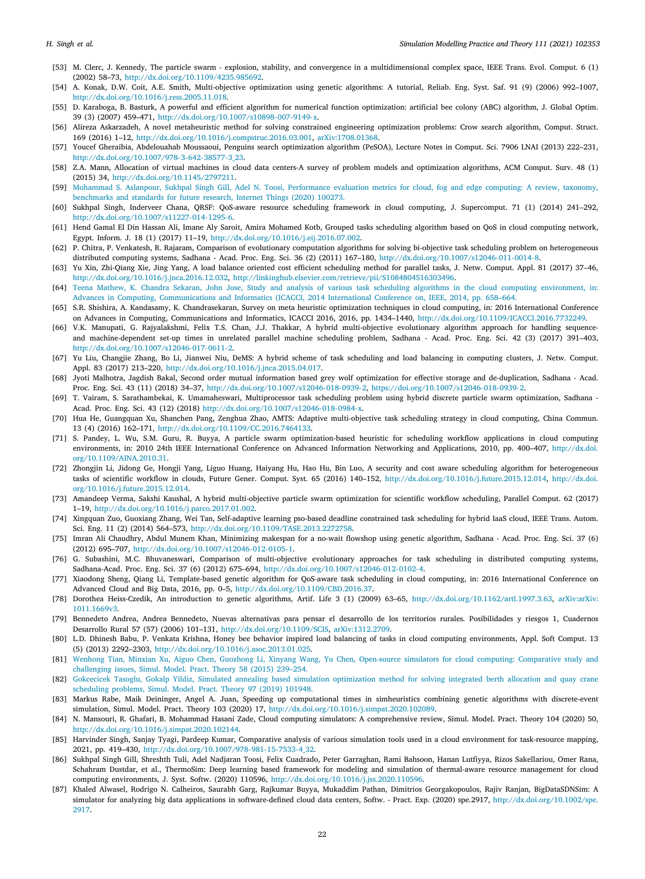- <span id="page-21-0"></span>[53] M. Clerc, J. Kennedy, The particle swarm - explosion, stability, and convergence in a multidimensional complex space, IEEE Trans. Evol. Comput. 6 (1) (2002) 58–73, [http://dx.doi.org/10.1109/4235.985692.](http://dx.doi.org/10.1109/4235.985692)
- <span id="page-21-1"></span>[54] A. Konak, D.W. Coit, A.E. Smith, Multi-objective optimization using genetic algorithms: A tutorial, Reliab. Eng. Syst. Saf. 91 (9) (2006) 992–1007, <http://dx.doi.org/10.1016/j.ress.2005.11.018>.
- <span id="page-21-2"></span>[55] D. Karaboga, B. Basturk, A powerful and efficient algorithm for numerical function optimization: artificial bee colony (ABC) algorithm, J. Global Optim. 39 (3) (2007) 459–471, [http://dx.doi.org/10.1007/s10898-007-9149-x.](http://dx.doi.org/10.1007/s10898-007-9149-x)
- <span id="page-21-3"></span>[56] Alireza Askarzadeh, A novel metaheuristic method for solving constrained engineering optimization problems: Crow search algorithm, Comput. Struct. 169 (2016) 1–12, [http://dx.doi.org/10.1016/j.compstruc.2016.03.001,](http://dx.doi.org/10.1016/j.compstruc.2016.03.001) [arXiv:1708.01368.](http://arxiv.org/abs/1708.01368)
- <span id="page-21-4"></span>[57] Youcef Gheraibia, Abdelouahab Moussaoui, Penguins search optimization algorithm (PeSOA), Lecture Notes in Comput. Sci. 7906 LNAI (2013) 222–231, [http://dx.doi.org/10.1007/978-3-642-38577-3\\_23.](http://dx.doi.org/10.1007/978-3-642-38577-3_23)
- <span id="page-21-5"></span>[58] Z.A. Mann, Allocation of virtual machines in cloud data centers-A survey of problem models and optimization algorithms, ACM Comput. Surv. 48 (1) (2015) 34, [http://dx.doi.org/10.1145/2797211.](http://dx.doi.org/10.1145/2797211)
- <span id="page-21-6"></span>[59] [Mohammad S. Aslanpour, Sukhpal Singh Gill, Adel N. Toosi, Performance evaluation metrics for cloud, fog and edge computing: A review, taxonomy,](http://refhub.elsevier.com/S1569-190X(21)00067-8/sb59) [benchmarks and standards for future research, Internet Things \(2020\) 100273.](http://refhub.elsevier.com/S1569-190X(21)00067-8/sb59)
- <span id="page-21-7"></span>[60] Sukhpal Singh, Inderveer Chana, QRSF: QoS-aware resource scheduling framework in cloud computing, J. Supercomput. 71 (1) (2014) 241–292, <http://dx.doi.org/10.1007/s11227-014-1295-6>.
- <span id="page-21-8"></span>[61] Hend Gamal El Din Hassan Ali, Imane Aly Saroit, Amira Mohamed Kotb, Grouped tasks scheduling algorithm based on QoS in cloud computing network, Egypt. Inform. J. 18 (1) (2017) 11–19, [http://dx.doi.org/10.1016/j.eij.2016.07.002.](http://dx.doi.org/10.1016/j.eij.2016.07.002)
- <span id="page-21-9"></span>[62] P. Chitra, P. Venkatesh, R. Rajaram, Comparison of evolutionary computation algorithms for solving bi-objective task scheduling problem on heterogeneous distributed computing systems, Sadhana - Acad. Proc. Eng. Sci. 36 (2) (2011) 167–180, [http://dx.doi.org/10.1007/s12046-011-0014-8.](http://dx.doi.org/10.1007/s12046-011-0014-8)
- <span id="page-21-10"></span>[63] Yu Xin, Zhi-Qiang Xie, Jing Yang, A load balance oriented cost efficient scheduling method for parallel tasks, J. Netw. Comput. Appl. 81 (2017) 37–46, <http://dx.doi.org/10.1016/j.jnca.2016.12.032>, <http://linkinghub.elsevier.com/retrieve/pii/S1084804516303496>.
- <span id="page-21-11"></span>[64] [Teena Mathew, K. Chandra Sekaran, John Jose, Study and analysis of various task scheduling algorithms in the cloud computing environment, in:](http://refhub.elsevier.com/S1569-190X(21)00067-8/sb64) [Advances in Computing, Communications and Informatics \(ICACCI, 2014 International Conference on, IEEE, 2014, pp. 658–664.](http://refhub.elsevier.com/S1569-190X(21)00067-8/sb64)
- <span id="page-21-15"></span>[65] S.R. Shishira, A. Kandasamy, K. Chandrasekaran, Survey on meta heuristic optimization techniques in cloud computing, in: 2016 International Conference on Advances in Computing, Communications and Informatics, ICACCI 2016, 2016, pp. 1434–1440, [http://dx.doi.org/10.1109/ICACCI.2016.7732249.](http://dx.doi.org/10.1109/ICACCI.2016.7732249)
- <span id="page-21-12"></span>[66] V.K. Manupati, G. Rajyalakshmi, Felix T.S. Chan, J.J. Thakkar, A hybrid multi-objective evolutionary algorithm approach for handling sequenceand machine-dependent set-up times in unrelated parallel machine scheduling problem, Sadhana - Acad. Proc. Eng. Sci. 42 (3) (2017) 391–403, <http://dx.doi.org/10.1007/s12046-017-0611-2>.
- <span id="page-21-13"></span>[67] Yu Liu, Changjie Zhang, Bo Li, Jianwei Niu, DeMS: A hybrid scheme of task scheduling and load balancing in computing clusters, J. Netw. Comput. Appl. 83 (2017) 213–220, [http://dx.doi.org/10.1016/j.jnca.2015.04.017.](http://dx.doi.org/10.1016/j.jnca.2015.04.017)
- <span id="page-21-14"></span>[68] Jyoti Malhotra, Jagdish Bakal, Second order mutual information based grey wolf optimization for effective storage and de-duplication, Sadhana - Acad. Proc. Eng. Sci. 43 (11) (2018) 34–37, <http://dx.doi.org/10.1007/s12046-018-0939-2>, <https://doi.org/10.1007/s12046-018-0939-2>.
- <span id="page-21-16"></span>[69] T. Vairam, S. Sarathambekai, K. Umamaheswari, Multiprocessor task scheduling problem using hybrid discrete particle swarm optimization, Sadhana - Acad. Proc. Eng. Sci. 43 (12) (2018) [http://dx.doi.org/10.1007/s12046-018-0984-x.](http://dx.doi.org/10.1007/s12046-018-0984-x)
- <span id="page-21-17"></span>[70] Hua He, Guangquan Xu, Shanchen Pang, Zenghua Zhao, AMTS: Adaptive multi-objective task scheduling strategy in cloud computing, China Commun. 13 (4) (2016) 162–171, <http://dx.doi.org/10.1109/CC.2016.7464133>.
- <span id="page-21-18"></span>[71] S. Pandey, L. Wu, S.M. Guru, R. Buyya, A particle swarm optimization-based heuristic for scheduling workflow applications in cloud computing environments, in: 2010 24th IEEE International Conference on Advanced Information Networking and Applications, 2010, pp. 400-407, [http://dx.doi.](http://dx.doi.org/10.1109/AINA.2010.31) [org/10.1109/AINA.2010.31.](http://dx.doi.org/10.1109/AINA.2010.31)
- <span id="page-21-19"></span>[72] Zhongjin Li, Jidong Ge, Hongji Yang, Liguo Huang, Haiyang Hu, Hao Hu, Bin Luo, A security and cost aware scheduling algorithm for heterogeneous tasks of scientific workflow in clouds, Future Gener. Comput. Syst. 65 (2016) 140–152, <http://dx.doi.org/10.1016/j.future.2015.12.014>, [http://dx.doi.](http://dx.doi.org/10.1016/j.future.2015.12.014) [org/10.1016/j.future.2015.12.014.](http://dx.doi.org/10.1016/j.future.2015.12.014)
- <span id="page-21-20"></span>[73] Amandeep Verma, Sakshi Kaushal, A hybrid multi-objective particle swarm optimization for scientific workflow scheduling, Parallel Comput. 62 (2017) 1–19, [http://dx.doi.org/10.1016/j.parco.2017.01.002.](http://dx.doi.org/10.1016/j.parco.2017.01.002)
- <span id="page-21-21"></span>[74] Xingquan Zuo, Guoxiang Zhang, Wei Tan, Self-adaptive learning pso-based deadline constrained task scheduling for hybrid IaaS cloud, IEEE Trans. Autom. Sci. Eng. 11 (2) (2014) 564–573, <http://dx.doi.org/10.1109/TASE.2013.2272758>.
- <span id="page-21-22"></span>[75] Imran Ali Chaudhry, Abdul Munem Khan, Minimizing makespan for a no-wait flowshop using genetic algorithm, Sadhana - Acad. Proc. Eng. Sci. 37 (6) (2012) 695–707, <http://dx.doi.org/10.1007/s12046-012-0105-1>.
- <span id="page-21-23"></span>[76] G. Subashini, M.C. Bhuvaneswari, Comparison of multi-objective evolutionary approaches for task scheduling in distributed computing systems, Sadhana-Acad. Proc. Eng. Sci. 37 (6) (2012) 675–694, <http://dx.doi.org/10.1007/s12046-012-0102-4>.
- <span id="page-21-24"></span>[77] Xiaodong Sheng, Qiang Li, Template-based genetic algorithm for QoS-aware task scheduling in cloud computing, in: 2016 International Conference on Advanced Cloud and Big Data, 2016, pp. 0–5, [http://dx.doi.org/10.1109/CBD.2016.37.](http://dx.doi.org/10.1109/CBD.2016.37)
- <span id="page-21-25"></span>[78] Dorothea Heiss-Czedik, An introduction to genetic algorithms, Artif. Life 3 (1) (2009) 63–65, [http://dx.doi.org/10.1162/artl.1997.3.63,](http://dx.doi.org/10.1162/artl.1997.3.63) [arXiv:arXiv:](http://arxiv.org/abs/arXiv:1011.1669v3) [1011.1669v3](http://arxiv.org/abs/arXiv:1011.1669v3).
- <span id="page-21-26"></span>[79] Bennedeto Andrea, Andrea Bennedeto, Nuevas alternativas para pensar el desarrollo de los territorios rurales. Posibilidades y riesgos 1, Cuadernos Desarrollo Rural 57 (57) (2006) 101–131, <http://dx.doi.org/10.1109/SCIS>, [arXiv:1312.2709](http://arxiv.org/abs/1312.2709).
- <span id="page-21-27"></span>[80] L.D. Dhinesh Babu, P. Venkata Krishna, Honey bee behavior inspired load balancing of tasks in cloud computing environments, Appl. Soft Comput. 13 (5) (2013) 2292–2303, <http://dx.doi.org/10.1016/j.asoc.2013.01.025>.
- <span id="page-21-28"></span>[81] [Wenhong Tian, Minxian Xu, Aiguo Chen, Guozhong Li, Xinyang Wang, Yu Chen, Open-source simulators for cloud computing: Comparative study and](http://refhub.elsevier.com/S1569-190X(21)00067-8/sb81) [challenging issues, Simul. Model. Pract. Theory 58 \(2015\) 239–254.](http://refhub.elsevier.com/S1569-190X(21)00067-8/sb81)
- <span id="page-21-29"></span>[82] [Gokcecicek Tasoglu, Gokalp Yildiz, Simulated annealing based simulation optimization method for solving integrated berth allocation and quay crane](http://refhub.elsevier.com/S1569-190X(21)00067-8/sb82) [scheduling problems, Simul. Model. Pract. Theory 97 \(2019\) 101948.](http://refhub.elsevier.com/S1569-190X(21)00067-8/sb82)
- <span id="page-21-30"></span>[83] Markus Rabe, Maik Deininger, Angel A. Juan, Speeding up computational times in simheuristics combining genetic algorithms with discrete-event simulation, Simul. Model. Pract. Theory 103 (2020) 17, [http://dx.doi.org/10.1016/j.simpat.2020.102089.](http://dx.doi.org/10.1016/j.simpat.2020.102089)
- <span id="page-21-31"></span>[84] N. Mansouri, R. Ghafari, B. Mohammad Hasani Zade, Cloud computing simulators: A comprehensive review, Simul. Model. Pract. Theory 104 (2020) 50, <http://dx.doi.org/10.1016/j.simpat.2020.102144>.
- <span id="page-21-32"></span>[85] Harvinder Singh, Sanjay Tyagi, Pardeep Kumar, Comparative analysis of various simulation tools used in a cloud environment for task-resource mapping, 2021, pp. 419–430, [http://dx.doi.org/10.1007/978-981-15-7533-4\\_32](http://dx.doi.org/10.1007/978-981-15-7533-4_32).
- <span id="page-21-33"></span>[86] Sukhpal Singh Gill, Shreshth Tuli, Adel Nadjaran Toosi, Felix Cuadrado, Peter Garraghan, Rami Bahsoon, Hanan Lutfiyya, Rizos Sakellariou, Omer Rana, Schahram Dustdar, et al., ThermoSim: Deep learning based framework for modeling and simulation of thermal-aware resource management for cloud computing environments, J. Syst. Softw. (2020) 110596, [http://dx.doi.org/10.1016/j.jss.2020.110596.](http://dx.doi.org/10.1016/j.jss.2020.110596)
- <span id="page-21-34"></span>[87] Khaled Alwasel, Rodrigo N. Calheiros, Saurabh Garg, Rajkumar Buyya, Mukaddim Pathan, Dimitrios Georgakopoulos, Rajiv Ranjan, BigDataSDNSim: A simulator for analyzing big data applications in software-defined cloud data centers, Softw. - Pract. Exp. (2020) spe.2917, [http://dx.doi.org/10.1002/spe.](http://dx.doi.org/10.1002/spe.2917) [2917.](http://dx.doi.org/10.1002/spe.2917)